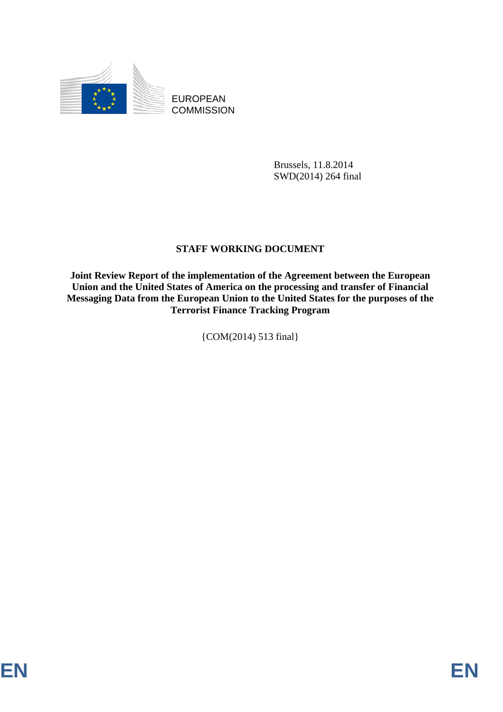

EUROPEAN **COMMISSION** 

> Brussels, 11.8.2014 SWD(2014) 264 final

### **STAFF WORKING DOCUMENT**

**Joint Review Report of the implementation of the Agreement between the European Union and the United States of America on the processing and transfer of Financial Messaging Data from the European Union to the United States for the purposes of the Terrorist Finance Tracking Program** 

{COM(2014) 513 final}

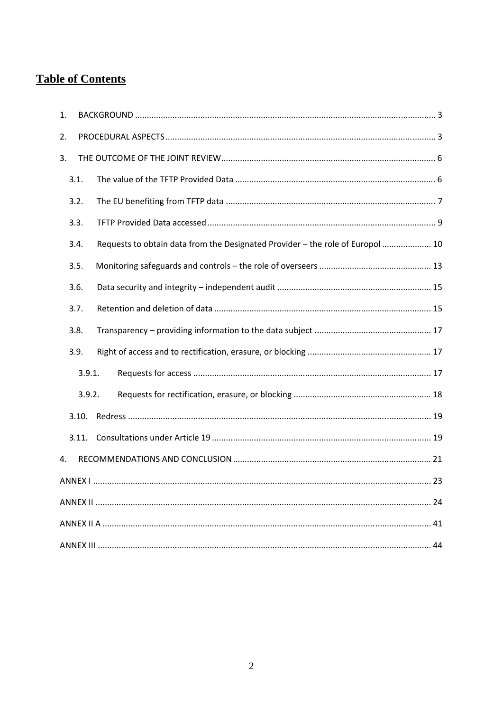# **Table of Contents**

| 1. |       |                                                                                |
|----|-------|--------------------------------------------------------------------------------|
| 2. |       |                                                                                |
| 3. |       |                                                                                |
|    | 3.1.  |                                                                                |
|    | 3.2.  |                                                                                |
|    | 3.3.  |                                                                                |
|    | 3.4.  | Requests to obtain data from the Designated Provider - the role of Europol  10 |
|    | 3.5.  |                                                                                |
|    | 3.6.  |                                                                                |
|    | 3.7.  |                                                                                |
|    | 3.8.  |                                                                                |
|    | 3.9.  |                                                                                |
|    |       | 3.9.1.                                                                         |
|    |       | 3.9.2.                                                                         |
|    | 3.10. |                                                                                |
|    | 3.11. |                                                                                |
| 4. |       |                                                                                |
|    |       |                                                                                |
|    |       |                                                                                |
|    |       |                                                                                |
|    |       |                                                                                |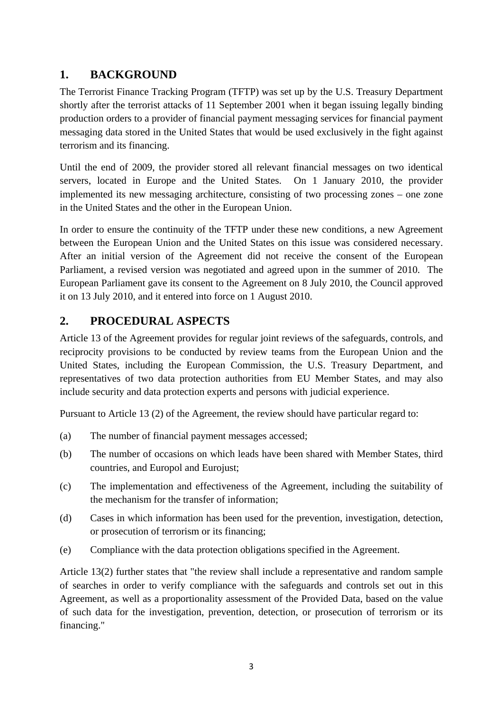## **1. BACKGROUND**

The Terrorist Finance Tracking Program (TFTP) was set up by the U.S. Treasury Department shortly after the terrorist attacks of 11 September 2001 when it began issuing legally binding production orders to a provider of financial payment messaging services for financial payment messaging data stored in the United States that would be used exclusively in the fight against terrorism and its financing.

Until the end of 2009, the provider stored all relevant financial messages on two identical servers, located in Europe and the United States. On 1 January 2010, the provider implemented its new messaging architecture, consisting of two processing zones – one zone in the United States and the other in the European Union.

In order to ensure the continuity of the TFTP under these new conditions, a new Agreement between the European Union and the United States on this issue was considered necessary. After an initial version of the Agreement did not receive the consent of the European Parliament, a revised version was negotiated and agreed upon in the summer of 2010. The European Parliament gave its consent to the Agreement on 8 July 2010, the Council approved it on 13 July 2010, and it entered into force on 1 August 2010.

# <span id="page-2-1"></span>**2. PROCEDURAL ASPECTS**

Article 13 of the Agreement provides for regular joint reviews of the safeguards, controls, and reciprocity provisions to be conducted by review teams from the European Union and the United States, including the European Commission, the U.S. Treasury Department, and representatives of two data protection authorities from EU Member States, and may also include security and data protection experts and persons with judicial experience.

Pursuant to Article 13 (2) of the Agreement, the review should have particular regard to:

- (a) The number of financial payment messages accessed;
- (b) The number of occasions on which leads have been shared with Member States, third countries, and Europol and Eurojust;
- (c) The implementation and effectiveness of the Agreement, including the suitability of the mechanism for the transfer of information;
- (d) Cases in which information has been used for the prevention, investigation, detection, or prosecution of terrorism or its financing;
- (e) Compliance with the data protection obligations specified in the Agreement.

<span id="page-2-0"></span>Article 13(2) further states that "the review shall include a representative and random sample of searches in order to verify compliance with the safeguards and controls set out in this Agreement, as well as a proportionality assessment of the Provided Data, based on the value of such data for the investigation, prevention, detection, or prosecution of terrorism or its financing."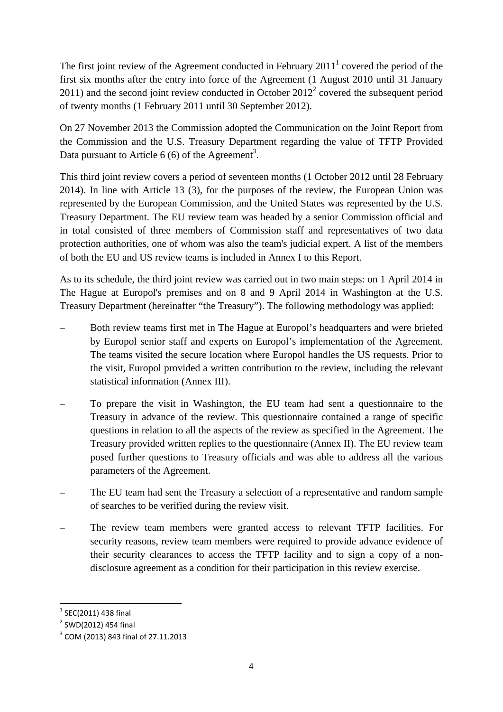The first joint review of the Agreement conducted in February  $2011<sup>1</sup>$  covered the period of the first six months after the entry into force of the Agreement (1 August 2010 until 31 January  $2011$ ) and the second joint review conducted in October  $2012<sup>2</sup>$  covered the subsequent period of twenty months (1 February 2011 until 30 September 2012).

On 27 November 2013 the Commission adopted the Communication on the Joint Report from the Commission and the U.S. Treasury Department regarding the value of TFTP Provided Data pursuant to Article  $6(6)$  of the Agreement<sup>3</sup>.

This third joint review covers a period of seventeen months (1 October 2012 until 28 February 2014). In line with Article 13 (3), for the purposes of the review, the European Union was represented by the European Commission, and the United States was represented by the U.S. Treasury Department. The EU review team was headed by a senior Commission official and in total consisted of three members of Commission staff and representatives of two data protection authorities, one of whom was also the team's judicial expert. A list of the members of both the EU and US review teams is included in Annex I to this Report.

As to its schedule, the third joint review was carried out in two main steps: on 1 April 2014 in The Hague at Europol's premises and on 8 and 9 April 2014 in Washington at the U.S. Treasury Department (hereinafter "the Treasury"). The following methodology was applied:

- Both review teams first met in The Hague at Europol's headquarters and were briefed by Europol senior staff and experts on Europol's implementation of the Agreement. The teams visited the secure location where Europol handles the US requests. Prior to the visit, Europol provided a written contribution to the review, including the relevant statistical information (Annex III).
- To prepare the visit in Washington, the EU team had sent a questionnaire to the Treasury in advance of the review. This questionnaire contained a range of specific questions in relation to all the aspects of the review as specified in the Agreement. The Treasury provided written replies to the questionnaire (Annex II). The EU review team posed further questions to Treasury officials and was able to address all the various parameters of the Agreement.
- The EU team had sent the Treasury a selection of a representative and random sample of searches to be verified during the review visit.
- The review team members were granted access to relevant TFTP facilities. For security reasons, review team members were required to provide advance evidence of their security clearances to access the TFTP facility and to sign a copy of a nondisclosure agreement as a condition for their participation in this review exercise.

<sup>1</sup>  $1$  SEC(2011) 438 final

<sup>&</sup>lt;sup>2</sup> SWD(2012) 454 final

<sup>&</sup>lt;sup>3</sup> COM (2013) 843 final of 27.11.2013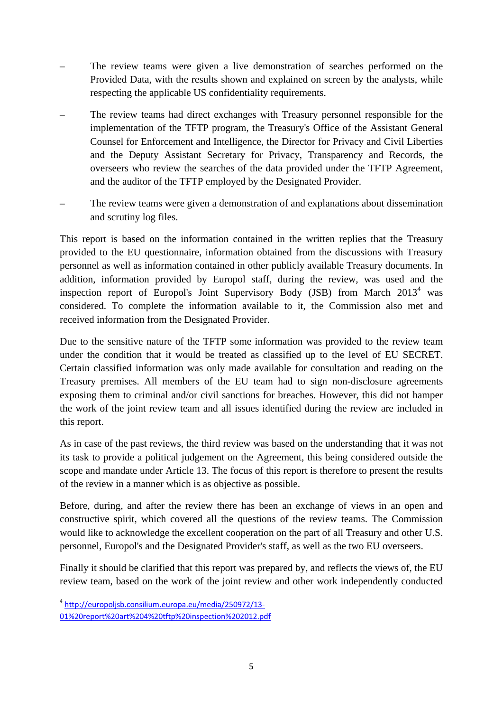- The review teams were given a live demonstration of searches performed on the Provided Data, with the results shown and explained on screen by the analysts, while respecting the applicable US confidentiality requirements.
- The review teams had direct exchanges with Treasury personnel responsible for the implementation of the TFTP program, the Treasury's Office of the Assistant General Counsel for Enforcement and Intelligence, the Director for Privacy and Civil Liberties and the Deputy Assistant Secretary for Privacy, Transparency and Records, the overseers who review the searches of the data provided under the TFTP Agreement, and the auditor of the TFTP employed by the Designated Provider.
- The review teams were given a demonstration of and explanations about dissemination and scrutiny log files.

This report is based on the information contained in the written replies that the Treasury provided to the EU questionnaire, information obtained from the discussions with Treasury personnel as well as information contained in other publicly available Treasury documents. In addition, information provided by Europol staff, during the review, was used and the [inspection report of Europol's Joint Supervisor](http://europoljsb.consilium.europa.eu/media/250972/13-01%20report%20art%204%20tftp%20inspection%202012.pdf)y Body (JSB) from March  $2013<sup>4</sup>$  was considered. To complete the information available to it, the Commission also met and received information from the Designated Provider.

Due to the sensitive nature of the TFTP some information was provided to the review team under the condition that it would be treated as classified up to the level of EU SECRET. Certain classified information was only made available for consultation and reading on the Treasury premises. All members of the EU team had to sign non-disclosure agreements exposing them to criminal and/or civil sanctions for breaches. However, this did not hamper the work of the joint review team and all issues identified during the review are included in this report.

As in case of the past reviews, the third review was based on the understanding that it was not its task to provide a political judgement on the Agreement, this being considered outside the scope and mandate under Article 13. The focus of this report is therefore to present the results of the review in a manner which is as objective as possible.

Before, during, and after the review there has been an exchange of views in an open and constructive spirit, which covered all the questions of the review teams. The Commission would like to acknowledge the excellent cooperation on the part of all Treasury and other U.S. personnel, Europol's and the Designated Provider's staff, as well as the two EU overseers.

Finally it should be clarified that this report was prepared by, and reflects the views of, the EU review team, based on the work of the joint review and other work independently conducted

**.** 

<sup>4</sup> http://europoljsb.consilium.europa.eu/media/250972/13- [01%20report%20art%204%20tftp%20inspection%202012.pdf](http://europoljsb.consilium.europa.eu/media/250972/13-01%20report%20art%204%20tftp%20inspection%202012.pdf)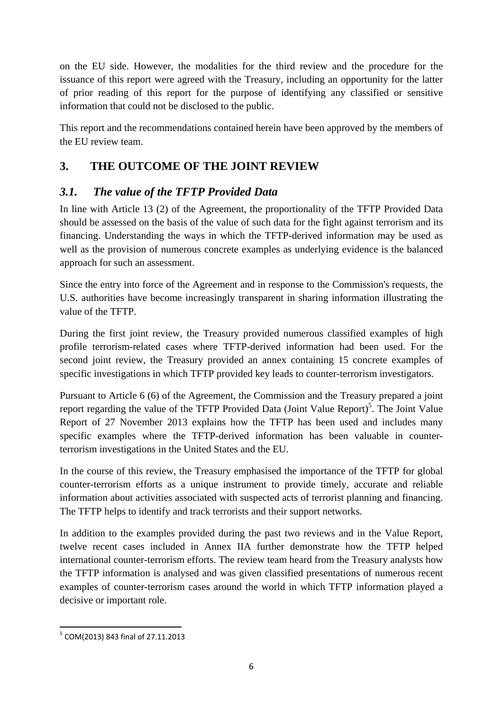on the EU side. However, the modalities for the third review and the procedure for the issuance of this report were agreed with the Treasury, including an opportunity for the latter of prior reading of this report for the purpose of identifying any classified or sensitive information that could not be disclosed to the public.

This report and the recommendations contained herein have been approved by the members of the EU review team.

# <span id="page-5-0"></span>**3. THE OUTCOME OF THE JOINT REVIEW**

# <span id="page-5-1"></span>*3.1. The value of the TFTP Provided Data*

In line with Article 13 (2) of the Agreement, the proportionality of the TFTP Provided Data should be assessed on the basis of the value of such data for the fight against terrorism and its financing. Understanding the ways in which the TFTP-derived information may be used as well as the provision of numerous concrete examples as underlying evidence is the balanced approach for such an assessment.

Since the entry into force of the Agreement and in response to the Commission's requests, the U.S. authorities have become increasingly transparent in sharing information illustrating the value of the TFTP.

During the first joint review, the Treasury provided numerous classified examples of high profile terrorism-related cases where TFTP-derived information had been used. For the second joint review, the Treasury provided an annex containing 15 concrete examples of specific investigations in which TFTP provided key leads to counter-terrorism investigators.

Pursuant to Article 6 (6) of the Agreement, the Commission and the Treasury prepared a joint report regarding the value of the TFTP Provided Data (Joint Value Report)<sup>5</sup>. The Joint Value Report of 27 November 2013 explains how the TFTP has been used and includes many specific examples where the TFTP-derived information has been valuable in counterterrorism investigations in the United States and the EU.

In the course of this review, the Treasury emphasised the importance of the TFTP for global counter-terrorism efforts as a unique instrument to provide timely, accurate and reliable information about activities associated with suspected acts of terrorist planning and financing. The TFTP helps to identify and track terrorists and their support networks.

In addition to the examples provided during the past two reviews and in the Value Report, twelve recent cases included in Annex IIA further demonstrate how the TFTP helped international counter-terrorism efforts. The review team heard from the Treasury analysts how the TFTP information is analysed and was given classified presentations of numerous recent examples of counter-terrorism cases around the world in which TFTP information played a decisive or important role.

<sup>-&</sup>lt;br><sup>5</sup> COM(2013) 843 final of 27.11.2013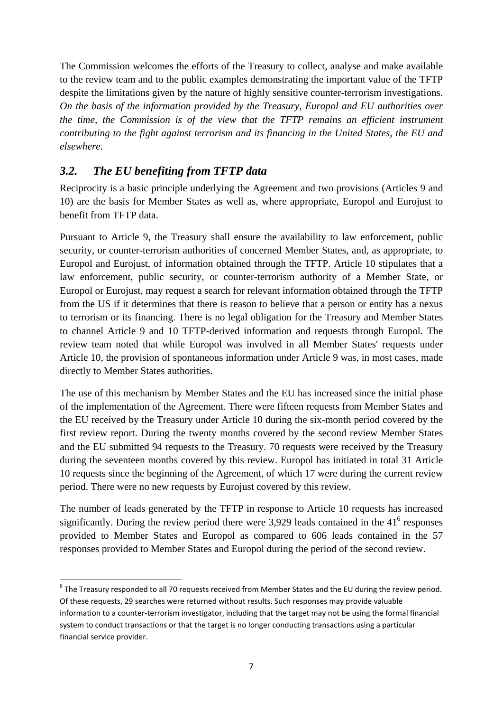The Commission welcomes the efforts of the Treasury to collect, analyse and make available to the review team and to the public examples demonstrating the important value of the TFTP despite the limitations given by the nature of highly sensitive counter-terrorism investigations. *On the basis of the information provided by the Treasury, Europol and EU authorities over the time, the Commission is of the view that the TFTP remains an efficient instrument contributing to the fight against terrorism and its financing in the United States, the EU and elsewhere.* 

# <span id="page-6-0"></span>*3.2. The EU benefiting from TFTP data*

 $\overline{\phantom{a}}$ 

Reciprocity is a basic principle underlying the Agreement and two provisions (Articles 9 and 10) are the basis for Member States as well as, where appropriate, Europol and Eurojust to benefit from TFTP data.

Pursuant to Article 9, the Treasury shall ensure the availability to law enforcement, public security, or counter-terrorism authorities of concerned Member States, and, as appropriate, to Europol and Eurojust, of information obtained through the TFTP. Article 10 stipulates that a law enforcement, public security, or counter-terrorism authority of a Member State, or Europol or Eurojust, may request a search for relevant information obtained through the TFTP from the US if it determines that there is reason to believe that a person or entity has a nexus to terrorism or its financing. There is no legal obligation for the Treasury and Member States to channel Article 9 and 10 TFTP-derived information and requests through Europol. The review team noted that while Europol was involved in all Member States' requests under Article 10, the provision of spontaneous information under Article 9 was, in most cases, made directly to Member States authorities.

The use of this mechanism by Member States and the EU has increased since the initial phase of the implementation of the Agreement. There were fifteen requests from Member States and the EU received by the Treasury under Article 10 during the six-month period covered by the first review report. During the twenty months covered by the second review Member States and the EU submitted 94 requests to the Treasury. 70 requests were received by the Treasury during the seventeen months covered by this review. Europol has initiated in total 31 Article 10 requests since the beginning of the Agreement, of which 17 were during the current review period. There were no new requests by Eurojust covered by this review.

The number of leads generated by the TFTP in response to Article 10 requests has increased significantly. During the review period there were 3,929 leads contained in the  $41<sup>6</sup>$  responses provided to Member States and Europol as compared to 606 leads contained in the 57 responses provided to Member States and Europol during the period of the second review.

 $<sup>6</sup>$  The Treasury responded to all 70 requests received from Member States and the EU during the review period.</sup> Of these requests, 29 searches were returned without results. Such responses may provide valuable information to a counter-terrorism investigator, including that the target may not be using the formal financial system to conduct transactions or that the target is no longer conducting transactions using a particular financial service provider.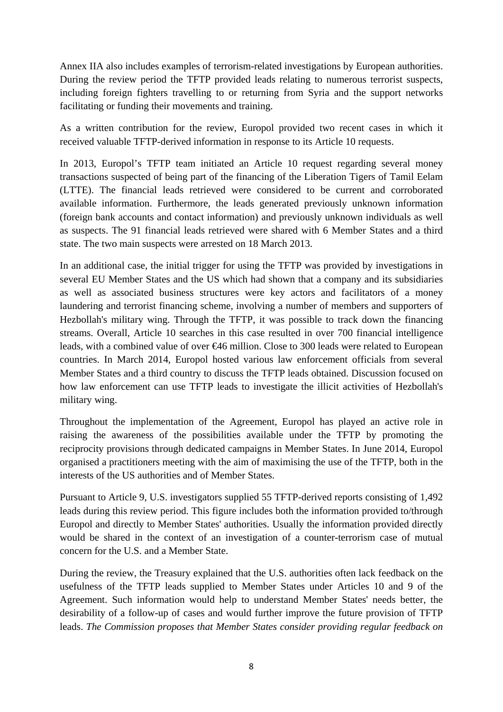Annex IIA also includes examples of terrorism-related investigations by European authorities. During the review period the TFTP provided leads relating to numerous terrorist suspects, including foreign fighters travelling to or returning from Syria and the support networks facilitating or funding their movements and training.

As a written contribution for the review, Europol provided two recent cases in which it received valuable TFTP-derived information in response to its Article 10 requests.

In 2013, Europol's TFTP team initiated an Article 10 request regarding several money transactions suspected of being part of the financing of the Liberation Tigers of Tamil Eelam (LTTE). The financial leads retrieved were considered to be current and corroborated available information. Furthermore, the leads generated previously unknown information (foreign bank accounts and contact information) and previously unknown individuals as well as suspects. The 91 financial leads retrieved were shared with 6 Member States and a third state. The two main suspects were arrested on 18 March 2013.

In an additional case, the initial trigger for using the TFTP was provided by investigations in several EU Member States and the US which had shown that a company and its subsidiaries as well as associated business structures were key actors and facilitators of a money laundering and terrorist financing scheme, involving a number of members and supporters of Hezbollah's military wing. Through the TFTP, it was possible to track down the financing streams. Overall, Article 10 searches in this case resulted in over 700 financial intelligence leads, with a combined value of over €46 million. Close to 300 leads were related to European countries. In March 2014, Europol hosted various law enforcement officials from several Member States and a third country to discuss the TFTP leads obtained. Discussion focused on how law enforcement can use TFTP leads to investigate the illicit activities of Hezbollah's military wing.

Throughout the implementation of the Agreement, Europol has played an active role in raising the awareness of the possibilities available under the TFTP by promoting the reciprocity provisions through dedicated campaigns in Member States. In June 2014, Europol organised a practitioners meeting with the aim of maximising the use of the TFTP, both in the interests of the US authorities and of Member States.

Pursuant to Article 9, U.S. investigators supplied 55 TFTP-derived reports consisting of 1,492 leads during this review period. This figure includes both the information provided to/through Europol and directly to Member States' authorities. Usually the information provided directly would be shared in the context of an investigation of a counter-terrorism case of mutual concern for the U.S. and a Member State.

During the review, the Treasury explained that the U.S. authorities often lack feedback on the usefulness of the TFTP leads supplied to Member States under Articles 10 and 9 of the Agreement. Such information would help to understand Member States' needs better, the desirability of a follow-up of cases and would further improve the future provision of TFTP leads. *The Commission proposes that Member States consider providing regular feedback on*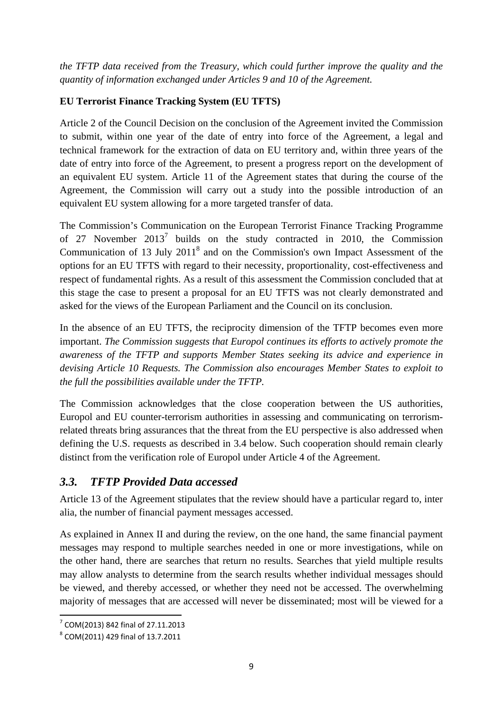*the TFTP data received from the Treasury, which could further improve the quality and the quantity of information exchanged under Articles 9 and 10 of the Agreement.* 

### **EU Terrorist Finance Tracking System (EU TFTS)**

Article 2 of the Council Decision on the conclusion of the Agreement invited the Commission to submit, within one year of the date of entry into force of the Agreement, a legal and technical framework for the extraction of data on EU territory and, within three years of the date of entry into force of the Agreement, to present a progress report on the development of an equivalent EU system. Article 11 of the Agreement states that during the course of the Agreement, the Commission will carry out a study into the possible introduction of an equivalent EU system allowing for a more targeted transfer of data.

The Commission's Communication on the European Terrorist Finance Tracking Programme of 27 November  $2013<sup>7</sup>$  builds on the study contracted in 2010, the Commission Communication of 13 July  $2011<sup>8</sup>$  and on the Commission's own Impact Assessment of the options for an EU TFTS with regard to their necessity, proportionality, cost-effectiveness and respect of fundamental rights. As a result of this assessment the Commission concluded that at this stage the case to present a proposal for an EU TFTS was not clearly demonstrated and asked for the views of the European Parliament and the Council on its conclusion.

In the absence of an EU TFTS, the reciprocity dimension of the TFTP becomes even more important. *The Commission suggests that Europol continues its efforts to actively promote the awareness of the TFTP and supports Member States seeking its advice and experience in devising Article 10 Requests. The Commission also encourages Member States to exploit to the full the possibilities available under the TFTP.*

The Commission acknowledges that the close cooperation between the US authorities, Europol and EU counter-terrorism authorities in assessing and communicating on terrorismrelated threats bring assurances that the threat from the EU perspective is also addressed when defining the U.S. requests as described in 3.4 below. Such cooperation should remain clearly distinct from the verification role of Europol under Article 4 of the Agreement.

### <span id="page-8-0"></span>*3.3. TFTP Provided Data accessed*

Article 13 of the Agreement stipulates that the review should have a particular regard to, inter alia, the number of financial payment messages accessed.

As explained in Annex II and during the review, on the one hand, the same financial payment messages may respond to multiple searches needed in one or more investigations, while on the other hand, there are searches that return no results. Searches that yield multiple results may allow analysts to determine from the search results whether individual messages should be viewed, and thereby accessed, or whether they need not be accessed. The overwhelming majority of messages that are accessed will never be disseminated; most will be viewed for a

 7 COM(2013) 842 final of 27.11.2013

<sup>8</sup> COM(2011) 429 final of 13.7.2011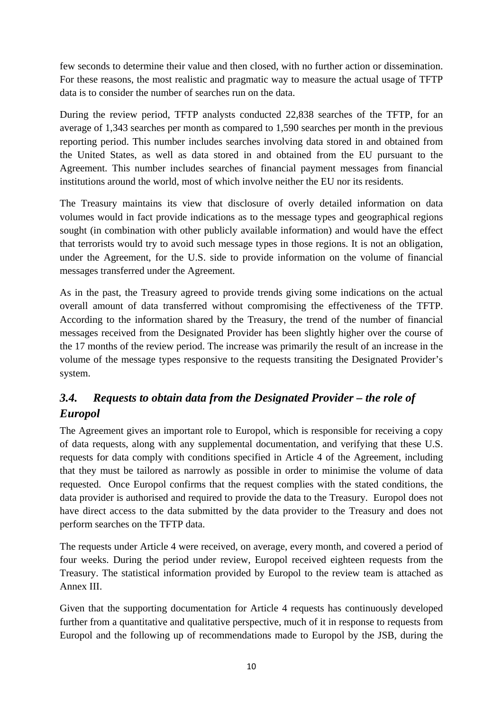few seconds to determine their value and then closed, with no further action or dissemination. For these reasons, the most realistic and pragmatic way to measure the actual usage of TFTP data is to consider the number of searches run on the data.

During the review period, TFTP analysts conducted 22,838 searches of the TFTP, for an average of 1,343 searches per month as compared to 1,590 searches per month in the previous reporting period. This number includes searches involving data stored in and obtained from the United States, as well as data stored in and obtained from the EU pursuant to the Agreement. This number includes searches of financial payment messages from financial institutions around the world, most of which involve neither the EU nor its residents.

The Treasury maintains its view that disclosure of overly detailed information on data volumes would in fact provide indications as to the message types and geographical regions sought (in combination with other publicly available information) and would have the effect that terrorists would try to avoid such message types in those regions. It is not an obligation, under the Agreement, for the U.S. side to provide information on the volume of financial messages transferred under the Agreement.

As in the past, the Treasury agreed to provide trends giving some indications on the actual overall amount of data transferred without compromising the effectiveness of the TFTP. According to the information shared by the Treasury, the trend of the number of financial messages received from the Designated Provider has been slightly higher over the course of the 17 months of the review period. The increase was primarily the result of an increase in the volume of the message types responsive to the requests transiting the Designated Provider's system.

# <span id="page-9-0"></span>*3.4. Requests to obtain data from the Designated Provider – the role of Europol*

The Agreement gives an important role to Europol, which is responsible for receiving a copy of data requests, along with any supplemental documentation, and verifying that these U.S. requests for data comply with conditions specified in Article 4 of the Agreement, including that they must be tailored as narrowly as possible in order to minimise the volume of data requested. Once Europol confirms that the request complies with the stated conditions, the data provider is authorised and required to provide the data to the Treasury. Europol does not have direct access to the data submitted by the data provider to the Treasury and does not perform searches on the TFTP data.

The requests under Article 4 were received, on average, every month, and covered a period of four weeks. During the period under review, Europol received eighteen requests from the Treasury. The statistical information provided by Europol to the review team is attached as Annex III.

Given that the supporting documentation for Article 4 requests has continuously developed further from a quantitative and qualitative perspective, much of it in response to requests from Europol and the following up of recommendations made to Europol by the JSB, during the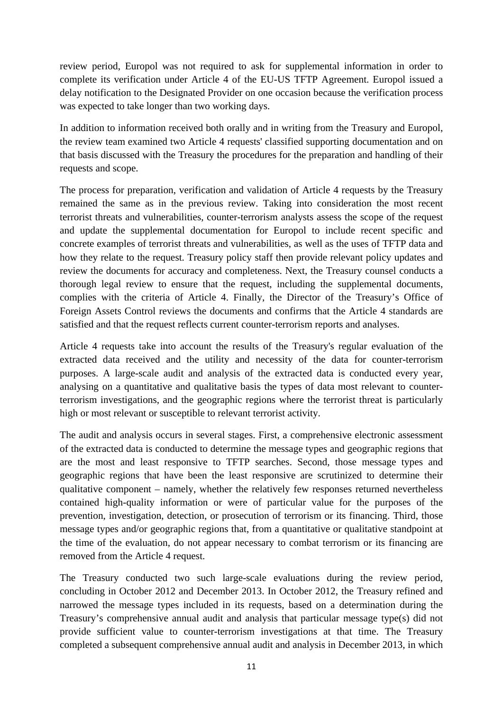review period, Europol was not required to ask for supplemental information in order to complete its verification under Article 4 of the EU-US TFTP Agreement. Europol issued a delay notification to the Designated Provider on one occasion because the verification process was expected to take longer than two working days.

In addition to information received both orally and in writing from the Treasury and Europol, the review team examined two Article 4 requests' classified supporting documentation and on that basis discussed with the Treasury the procedures for the preparation and handling of their requests and scope.

The process for preparation, verification and validation of Article 4 requests by the Treasury remained the same as in the previous review. Taking into consideration the most recent terrorist threats and vulnerabilities, counter-terrorism analysts assess the scope of the request and update the supplemental documentation for Europol to include recent specific and concrete examples of terrorist threats and vulnerabilities, as well as the uses of TFTP data and how they relate to the request. Treasury policy staff then provide relevant policy updates and review the documents for accuracy and completeness. Next, the Treasury counsel conducts a thorough legal review to ensure that the request, including the supplemental documents, complies with the criteria of Article 4. Finally, the Director of the Treasury's Office of Foreign Assets Control reviews the documents and confirms that the Article 4 standards are satisfied and that the request reflects current counter-terrorism reports and analyses.

Article 4 requests take into account the results of the Treasury's regular evaluation of the extracted data received and the utility and necessity of the data for counter-terrorism purposes. A large-scale audit and analysis of the extracted data is conducted every year, analysing on a quantitative and qualitative basis the types of data most relevant to counterterrorism investigations, and the geographic regions where the terrorist threat is particularly high or most relevant or susceptible to relevant terrorist activity.

The audit and analysis occurs in several stages. First, a comprehensive electronic assessment of the extracted data is conducted to determine the message types and geographic regions that are the most and least responsive to TFTP searches. Second, those message types and geographic regions that have been the least responsive are scrutinized to determine their qualitative component – namely, whether the relatively few responses returned nevertheless contained high-quality information or were of particular value for the purposes of the prevention, investigation, detection, or prosecution of terrorism or its financing. Third, those message types and/or geographic regions that, from a quantitative or qualitative standpoint at the time of the evaluation, do not appear necessary to combat terrorism or its financing are removed from the Article 4 request.

The Treasury conducted two such large-scale evaluations during the review period, concluding in October 2012 and December 2013. In October 2012, the Treasury refined and narrowed the message types included in its requests, based on a determination during the Treasury's comprehensive annual audit and analysis that particular message type(s) did not provide sufficient value to counter-terrorism investigations at that time. The Treasury completed a subsequent comprehensive annual audit and analysis in December 2013, in which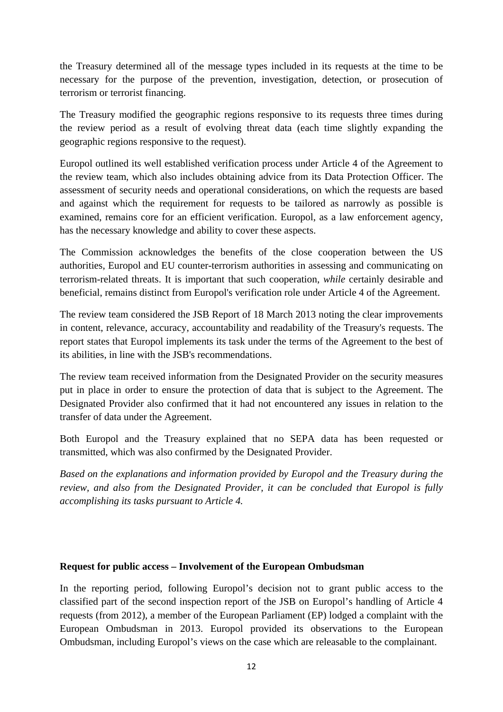the Treasury determined all of the message types included in its requests at the time to be necessary for the purpose of the prevention, investigation, detection, or prosecution of terrorism or terrorist financing.

The Treasury modified the geographic regions responsive to its requests three times during the review period as a result of evolving threat data (each time slightly expanding the geographic regions responsive to the request).

Europol outlined its well established verification process under Article 4 of the Agreement to the review team, which also includes obtaining advice from its Data Protection Officer. The assessment of security needs and operational considerations, on which the requests are based and against which the requirement for requests to be tailored as narrowly as possible is examined, remains core for an efficient verification. Europol, as a law enforcement agency, has the necessary knowledge and ability to cover these aspects.

The Commission acknowledges the benefits of the close cooperation between the US authorities, Europol and EU counter-terrorism authorities in assessing and communicating on terrorism-related threats. It is important that such cooperation, *while* certainly desirable and beneficial, remains distinct from Europol's verification role under Article 4 of the Agreement.

The review team considered the JSB Report of 18 March 2013 noting the clear improvements in content, relevance, accuracy, accountability and readability of the Treasury's requests. The report states that Europol implements its task under the terms of the Agreement to the best of its abilities, in line with the JSB's recommendations.

The review team received information from the Designated Provider on the security measures put in place in order to ensure the protection of data that is subject to the Agreement. The Designated Provider also confirmed that it had not encountered any issues in relation to the transfer of data under the Agreement.

Both Europol and the Treasury explained that no SEPA data has been requested or transmitted, which was also confirmed by the Designated Provider.

*Based on the explanations and information provided by Europol and the Treasury during the review, and also from the Designated Provider, it can be concluded that Europol is fully accomplishing its tasks pursuant to Article 4.* 

### **Request for public access – Involvement of the European Ombudsman**

In the reporting period, following Europol's decision not to grant public access to the classified part of the second inspection report of the JSB on Europol's handling of Article 4 requests (from 2012), a member of the European Parliament (EP) lodged a complaint with the European Ombudsman in 2013. Europol provided its observations to the European Ombudsman, including Europol's views on the case which are releasable to the complainant.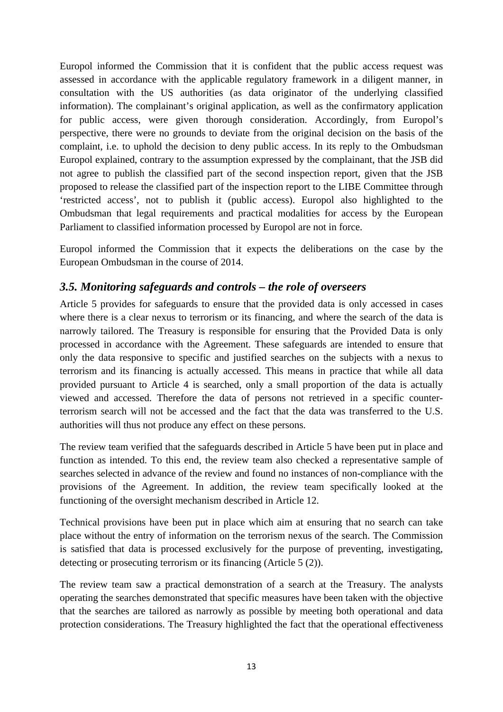Europol informed the Commission that it is confident that the public access request was assessed in accordance with the applicable regulatory framework in a diligent manner, in consultation with the US authorities (as data originator of the underlying classified information). The complainant's original application, as well as the confirmatory application for public access, were given thorough consideration. Accordingly, from Europol's perspective, there were no grounds to deviate from the original decision on the basis of the complaint, i.e. to uphold the decision to deny public access. In its reply to the Ombudsman Europol explained, contrary to the assumption expressed by the complainant, that the JSB did not agree to publish the classified part of the second inspection report, given that the JSB proposed to release the classified part of the inspection report to the LIBE Committee through 'restricted access', not to publish it (public access). Europol also highlighted to the Ombudsman that legal requirements and practical modalities for access by the European Parliament to classified information processed by Europol are not in force.

Europol informed the Commission that it expects the deliberations on the case by the European Ombudsman in the course of 2014.

## <span id="page-12-0"></span>*3.5. Monitoring safeguards and controls – the role of overseers*

Article 5 provides for safeguards to ensure that the provided data is only accessed in cases where there is a clear nexus to terrorism or its financing, and where the search of the data is narrowly tailored. The Treasury is responsible for ensuring that the Provided Data is only processed in accordance with the Agreement. These safeguards are intended to ensure that only the data responsive to specific and justified searches on the subjects with a nexus to terrorism and its financing is actually accessed. This means in practice that while all data provided pursuant to Article 4 is searched, only a small proportion of the data is actually viewed and accessed. Therefore the data of persons not retrieved in a specific counterterrorism search will not be accessed and the fact that the data was transferred to the U.S. authorities will thus not produce any effect on these persons.

The review team verified that the safeguards described in Article 5 have been put in place and function as intended. To this end, the review team also checked a representative sample of searches selected in advance of the review and found no instances of non-compliance with the provisions of the Agreement. In addition, the review team specifically looked at the functioning of the oversight mechanism described in Article 12.

Technical provisions have been put in place which aim at ensuring that no search can take place without the entry of information on the terrorism nexus of the search. The Commission is satisfied that data is processed exclusively for the purpose of preventing, investigating, detecting or prosecuting terrorism or its financing (Article 5 (2)).

The review team saw a practical demonstration of a search at the Treasury. The analysts operating the searches demonstrated that specific measures have been taken with the objective that the searches are tailored as narrowly as possible by meeting both operational and data protection considerations. The Treasury highlighted the fact that the operational effectiveness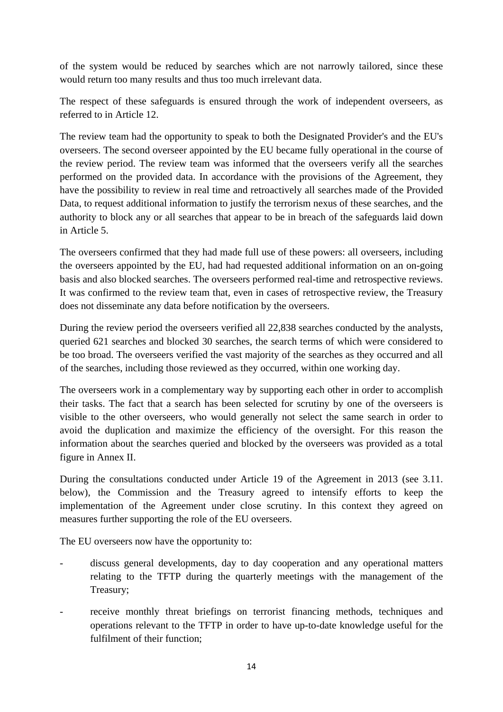of the system would be reduced by searches which are not narrowly tailored, since these would return too many results and thus too much irrelevant data.

The respect of these safeguards is ensured through the work of independent overseers, as referred to in Article 12.

The review team had the opportunity to speak to both the Designated Provider's and the EU's overseers. The second overseer appointed by the EU became fully operational in the course of the review period. The review team was informed that the overseers verify all the searches performed on the provided data. In accordance with the provisions of the Agreement, they have the possibility to review in real time and retroactively all searches made of the Provided Data, to request additional information to justify the terrorism nexus of these searches, and the authority to block any or all searches that appear to be in breach of the safeguards laid down in Article 5.

The overseers confirmed that they had made full use of these powers: all overseers, including the overseers appointed by the EU, had had requested additional information on an on-going basis and also blocked searches. The overseers performed real-time and retrospective reviews. It was confirmed to the review team that, even in cases of retrospective review, the Treasury does not disseminate any data before notification by the overseers.

During the review period the overseers verified all 22,838 searches conducted by the analysts, queried 621 searches and blocked 30 searches, the search terms of which were considered to be too broad. The overseers verified the vast majority of the searches as they occurred and all of the searches, including those reviewed as they occurred, within one working day.

The overseers work in a complementary way by supporting each other in order to accomplish their tasks. The fact that a search has been selected for scrutiny by one of the overseers is visible to the other overseers, who would generally not select the same search in order to avoid the duplication and maximize the efficiency of the oversight. For this reason the information about the searches queried and blocked by the overseers was provided as a total figure in Annex II.

During the consultations conducted under Article 19 of the Agreement in 2013 (see 3.11. below), the Commission and the Treasury agreed to intensify efforts to keep the implementation of the Agreement under close scrutiny. In this context they agreed on measures further supporting the role of the EU overseers.

The EU overseers now have the opportunity to:

- discuss general developments, day to day cooperation and any operational matters relating to the TFTP during the quarterly meetings with the management of the Treasury;
- receive monthly threat briefings on terrorist financing methods, techniques and operations relevant to the TFTP in order to have up-to-date knowledge useful for the fulfilment of their function;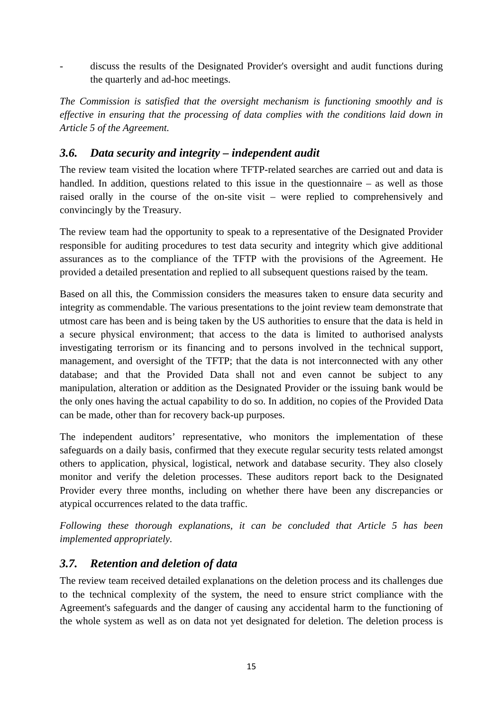- discuss the results of the Designated Provider's oversight and audit functions during the quarterly and ad-hoc meetings.

*The Commission is satisfied that the oversight mechanism is functioning smoothly and is effective in ensuring that the processing of data complies with the conditions laid down in Article 5 of the Agreement.* 

## <span id="page-14-0"></span>*3.6. Data security and integrity – independent audit*

The review team visited the location where TFTP-related searches are carried out and data is handled. In addition, questions related to this issue in the questionnaire – as well as those raised orally in the course of the on-site visit – were replied to comprehensively and convincingly by the Treasury.

The review team had the opportunity to speak to a representative of the Designated Provider responsible for auditing procedures to test data security and integrity which give additional assurances as to the compliance of the TFTP with the provisions of the Agreement. He provided a detailed presentation and replied to all subsequent questions raised by the team.

Based on all this, the Commission considers the measures taken to ensure data security and integrity as commendable. The various presentations to the joint review team demonstrate that utmost care has been and is being taken by the US authorities to ensure that the data is held in a secure physical environment; that access to the data is limited to authorised analysts investigating terrorism or its financing and to persons involved in the technical support, management, and oversight of the TFTP; that the data is not interconnected with any other database; and that the Provided Data shall not and even cannot be subject to any manipulation, alteration or addition as the Designated Provider or the issuing bank would be the only ones having the actual capability to do so. In addition, no copies of the Provided Data can be made, other than for recovery back-up purposes.

The independent auditors' representative, who monitors the implementation of these safeguards on a daily basis, confirmed that they execute regular security tests related amongst others to application, physical, logistical, network and database security. They also closely monitor and verify the deletion processes. These auditors report back to the Designated Provider every three months, including on whether there have been any discrepancies or atypical occurrences related to the data traffic.

*Following these thorough explanations, it can be concluded that Article 5 has been implemented appropriately.* 

# <span id="page-14-1"></span>*3.7. Retention and deletion of data*

The review team received detailed explanations on the deletion process and its challenges due to the technical complexity of the system, the need to ensure strict compliance with the Agreement's safeguards and the danger of causing any accidental harm to the functioning of the whole system as well as on data not yet designated for deletion. The deletion process is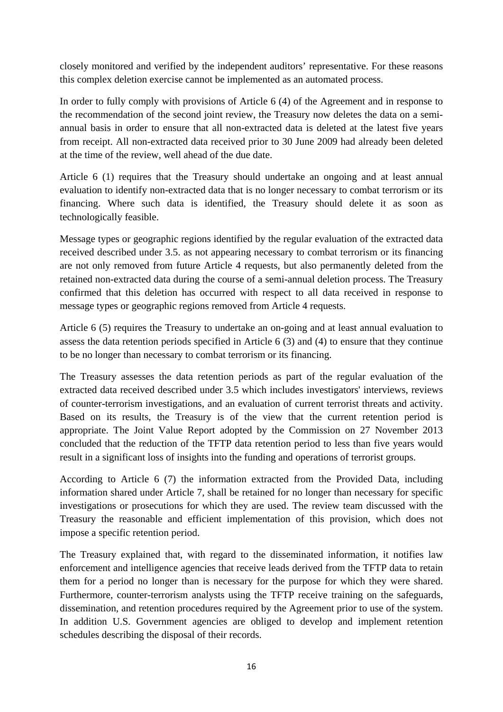closely monitored and verified by the independent auditors' representative. For these reasons this complex deletion exercise cannot be implemented as an automated process.

In order to fully comply with provisions of Article 6 (4) of the Agreement and in response to the recommendation of the second joint review, the Treasury now deletes the data on a semiannual basis in order to ensure that all non-extracted data is deleted at the latest five years from receipt. All non-extracted data received prior to 30 June 2009 had already been deleted at the time of the review, well ahead of the due date.

Article 6 (1) requires that the Treasury should undertake an ongoing and at least annual evaluation to identify non-extracted data that is no longer necessary to combat terrorism or its financing. Where such data is identified, the Treasury should delete it as soon as technologically feasible.

Message types or geographic regions identified by the regular evaluation of the extracted data received described under 3.5. as not appearing necessary to combat terrorism or its financing are not only removed from future Article 4 requests, but also permanently deleted from the retained non-extracted data during the course of a semi-annual deletion process. The Treasury confirmed that this deletion has occurred with respect to all data received in response to message types or geographic regions removed from Article 4 requests.

Article 6 (5) requires the Treasury to undertake an on-going and at least annual evaluation to assess the data retention periods specified in Article 6 (3) and (4) to ensure that they continue to be no longer than necessary to combat terrorism or its financing.

The Treasury assesses the data retention periods as part of the regular evaluation of the extracted data received described under 3.5 which includes investigators' interviews, reviews of counter-terrorism investigations, and an evaluation of current terrorist threats and activity. Based on its results, the Treasury is of the view that the current retention period is appropriate. The Joint Value Report adopted by the Commission on 27 November 2013 concluded that the reduction of the TFTP data retention period to less than five years would result in a significant loss of insights into the funding and operations of terrorist groups.

According to Article 6 (7) the information extracted from the Provided Data, including information shared under Article 7, shall be retained for no longer than necessary for specific investigations or prosecutions for which they are used. The review team discussed with the Treasury the reasonable and efficient implementation of this provision, which does not impose a specific retention period.

The Treasury explained that, with regard to the disseminated information, it notifies law enforcement and intelligence agencies that receive leads derived from the TFTP data to retain them for a period no longer than is necessary for the purpose for which they were shared. Furthermore, counter-terrorism analysts using the TFTP receive training on the safeguards, dissemination, and retention procedures required by the Agreement prior to use of the system. In addition U.S. Government agencies are obliged to develop and implement retention schedules describing the disposal of their records.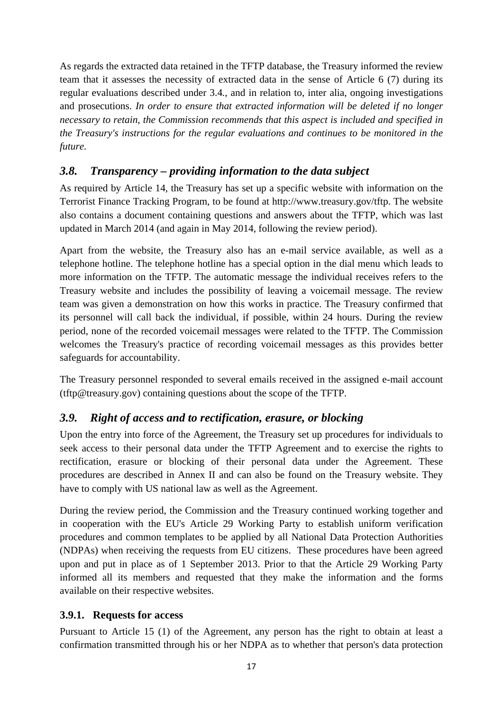As regards the extracted data retained in the TFTP database, the Treasury informed the review team that it assesses the necessity of extracted data in the sense of Article 6 (7) during its regular evaluations described under 3.4*.*, and in relation to, inter alia, ongoing investigations and prosecutions. *In order to ensure that extracted information will be deleted if no longer necessary to retain, the Commission recommends that this aspect is included and specified in the Treasury's instructions for the regular evaluations and continues to be monitored in the future.* 

## <span id="page-16-0"></span>*3.8. Transparency – providing information to the data subject*

As required by Article 14, the Treasury has set up a specific website with information on the Terrorist Finance Tracking Program, to be found at http://www.treasury.gov/tftp. The website also contains a document containing questions and answers about the TFTP, which was last updated in March 2014 (and again in May 2014, following the review period).

Apart from the website, the Treasury also has an e-mail service available, as well as a telephone hotline. The telephone hotline has a special option in the dial menu which leads to more information on the TFTP. The automatic message the individual receives refers to the Treasury website and includes the possibility of leaving a voicemail message. The review team was given a demonstration on how this works in practice. The Treasury confirmed that its personnel will call back the individual, if possible, within 24 hours. During the review period, none of the recorded voicemail messages were related to the TFTP. The Commission welcomes the Treasury's practice of recording voicemail messages as this provides better safeguards for accountability.

The Treasury personnel responded to several emails received in the assigned e-mail account (tftp@treasury.gov) containing questions about the scope of the TFTP.

### <span id="page-16-1"></span>*3.9. Right of access and to rectification, erasure, or blocking*

Upon the entry into force of the Agreement, the Treasury set up procedures for individuals to seek access to their personal data under the TFTP Agreement and to exercise the rights to rectification, erasure or blocking of their personal data under the Agreement. These procedures are described in Annex II and can also be found on the Treasury website. They have to comply with US national law as well as the Agreement.

During the review period, the Commission and the Treasury continued working together and in cooperation with the EU's Article 29 Working Party to establish uniform verification procedures and common templates to be applied by all National Data Protection Authorities (NDPAs) when receiving the requests from EU citizens. These procedures have been agreed upon and put in place as of 1 September 2013. Prior to that the Article 29 Working Party informed all its members and requested that they make the information and the forms available on their respective websites.

### <span id="page-16-2"></span>**3.9.1. Requests for access**

Pursuant to Article 15 (1) of the Agreement, any person has the right to obtain at least a confirmation transmitted through his or her NDPA as to whether that person's data protection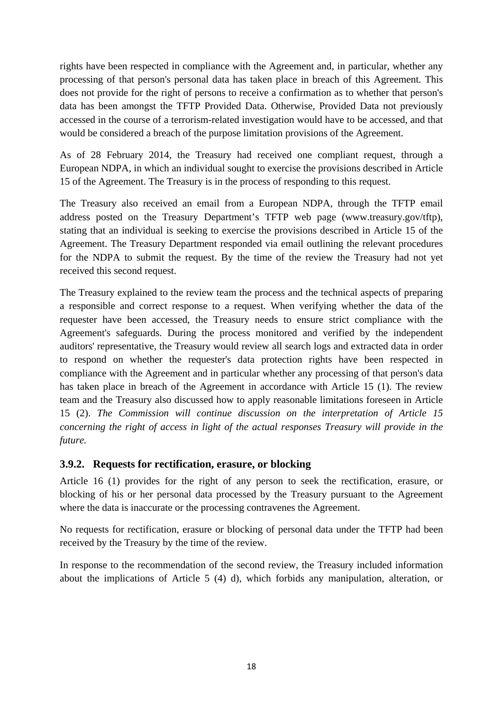rights have been respected in compliance with the Agreement and, in particular, whether any processing of that person's personal data has taken place in breach of this Agreement. This does not provide for the right of persons to receive a confirmation as to whether that person's data has been amongst the TFTP Provided Data. Otherwise, Provided Data not previously accessed in the course of a terrorism-related investigation would have to be accessed, and that would be considered a breach of the purpose limitation provisions of the Agreement.

As of 28 February 2014, the Treasury had received one compliant request, through a European NDPA, in which an individual sought to exercise the provisions described in Article 15 of the Agreement. The Treasury is in the process of responding to this request.

The Treasury also received an email from a European NDPA, through the TFTP email address posted on the Treasury Department's TFTP web page (www.treasury.gov/tftp), stating that an individual is seeking to exercise the provisions described in Article 15 of the Agreement. The Treasury Department responded via email outlining the relevant procedures for the NDPA to submit the request. By the time of the review the Treasury had not yet received this second request.

The Treasury explained to the review team the process and the technical aspects of preparing a responsible and correct response to a request. When verifying whether the data of the requester have been accessed, the Treasury needs to ensure strict compliance with the Agreement's safeguards. During the process monitored and verified by the independent auditors' representative, the Treasury would review all search logs and extracted data in order to respond on whether the requester's data protection rights have been respected in compliance with the Agreement and in particular whether any processing of that person's data has taken place in breach of the Agreement in accordance with Article 15 (1). The review team and the Treasury also discussed how to apply reasonable limitations foreseen in Article 15 (2). *The Commission will continue discussion on the interpretation of Article 15 concerning the right of access in light of the actual responses Treasury will provide in the future.* 

### <span id="page-17-0"></span>**3.9.2. Requests for rectification, erasure, or blocking**

Article 16 (1) provides for the right of any person to seek the rectification, erasure, or blocking of his or her personal data processed by the Treasury pursuant to the Agreement where the data is inaccurate or the processing contravenes the Agreement.

No requests for rectification, erasure or blocking of personal data under the TFTP had been received by the Treasury by the time of the review.

In response to the recommendation of the second review, the Treasury included information about the implications of Article 5 (4) d), which forbids any manipulation, alteration, or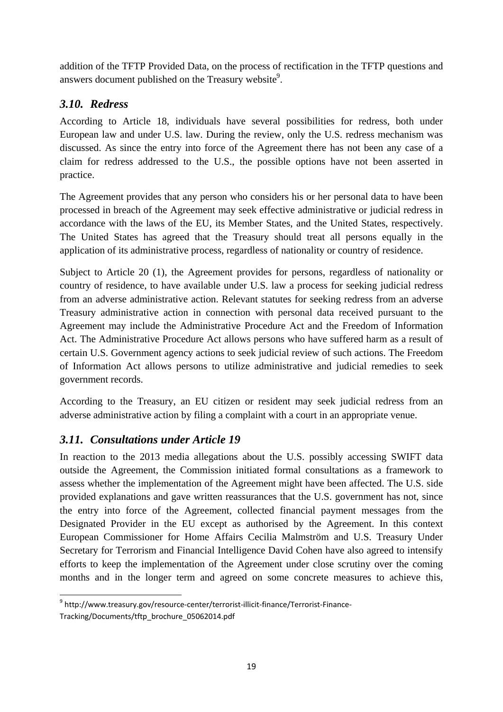addition of the TFTP Provided Data, on the process of rectification in the TFTP questions and answers document published on the Treasury website $9$ .

# <span id="page-18-0"></span>*3.10. Redress*

According to Article 18, individuals have several possibilities for redress, both under European law and under U.S. law. During the review, only the U.S. redress mechanism was discussed. As since the entry into force of the Agreement there has not been any case of a claim for redress addressed to the U.S., the possible options have not been asserted in practice.

The Agreement provides that any person who considers his or her personal data to have been processed in breach of the Agreement may seek effective administrative or judicial redress in accordance with the laws of the EU, its Member States, and the United States, respectively. The United States has agreed that the Treasury should treat all persons equally in the application of its administrative process, regardless of nationality or country of residence.

Subject to Article 20 (1), the Agreement provides for persons, regardless of nationality or country of residence, to have available under U.S. law a process for seeking judicial redress from an adverse administrative action. Relevant statutes for seeking redress from an adverse Treasury administrative action in connection with personal data received pursuant to the Agreement may include the Administrative Procedure Act and the Freedom of Information Act. The Administrative Procedure Act allows persons who have suffered harm as a result of certain U.S. Government agency actions to seek judicial review of such actions. The Freedom of Information Act allows persons to utilize administrative and judicial remedies to seek government records.

According to the Treasury, an EU citizen or resident may seek judicial redress from an adverse administrative action by filing a complaint with a court in an appropriate venue.

# <span id="page-18-1"></span>*3.11. Consultations under Article 19*

In reaction to the 2013 media allegations about the U.S. possibly accessing SWIFT data outside the Agreement, the Commission initiated formal consultations as a framework to assess whether the implementation of the Agreement might have been affected. The U.S. side provided explanations and gave written reassurances that the U.S. government has not, since the entry into force of the Agreement, collected financial payment messages from the Designated Provider in the EU except as authorised by the Agreement. In this context European Commissioner for Home Affairs Cecilia Malmström and U.S. Treasury Under Secretary for Terrorism and Financial Intelligence David Cohen have also agreed to intensify efforts to keep the implementation of the Agreement under close scrutiny over the coming months and in the longer term and agreed on some concrete measures to achieve this,

**<sup>.</sup>** <sup>9</sup> http://www.treasury.gov/resource-center/terrorist-illicit-finance/Terrorist-Finance-Tracking/Documents/tftp\_brochure\_05062014.pdf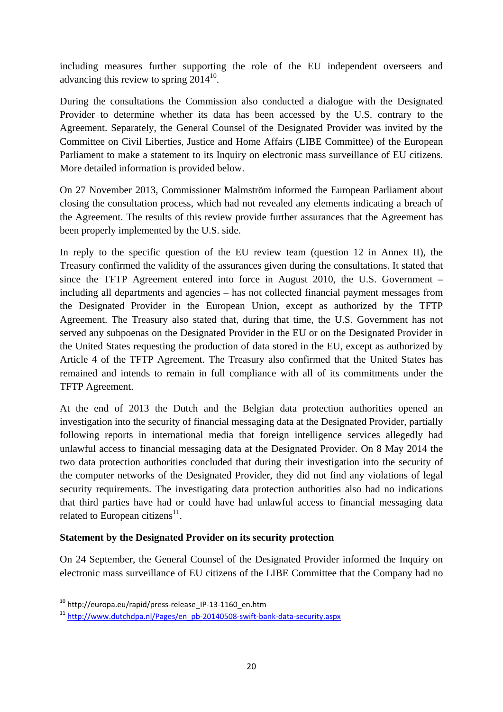including measures further supporting the role of the EU independent overseers and advancing this review to spring  $2014^{10}$ .

During the consultations the Commission also conducted a dialogue with the Designated Provider to determine whether its data has been accessed by the U.S. contrary to the Agreement. Separately, the General Counsel of the Designated Provider was invited by the Committee on Civil Liberties, Justice and Home Affairs (LIBE Committee) of the European Parliament to make a statement to its Inquiry on electronic mass surveillance of EU citizens. More detailed information is provided below.

On 27 November 2013, Commissioner Malmström informed the European Parliament about closing the consultation process, which had not revealed any elements indicating a breach of the Agreement. The results of this review provide further assurances that the Agreement has been properly implemented by the U.S. side.

In reply to the specific question of the EU review team (question 12 in Annex II), the Treasury confirmed the validity of the assurances given during the consultations. It stated that since the TFTP Agreement entered into force in August 2010, the U.S. Government – including all departments and agencies – has not collected financial payment messages from the Designated Provider in the European Union, except as authorized by the TFTP Agreement. The Treasury also stated that, during that time, the U.S. Government has not served any subpoenas on the Designated Provider in the EU or on the Designated Provider in the United States requesting the production of data stored in the EU, except as authorized by Article 4 of the TFTP Agreement. The Treasury also confirmed that the United States has remained and intends to remain in full compliance with all of its commitments under the TFTP Agreement.

At the end of 2013 the Dutch and the Belgian data protection authorities opened an investigation into the security of financial messaging data at the Designated Provider, partially following reports in international media that foreign intelligence services allegedly had unlawful access to financial messaging data at the Designated Provider. On 8 May 2014 the two data protection authorities concluded that during their investigation into the security of the computer networks of the Designated Provider, they did not find any violations of legal security requirements. The investigating data protection authorities also had no indications that third parties have had or could have had unlawful access to financial messaging data related to European citizens<sup>11</sup>.

### **Statement by the Designated Provider on its security protection**

On 24 September, the General Counsel of the Designated Provider informed the Inquiry on electronic mass surveillance of EU citizens of the LIBE Committee that the Company had no

**.** 

<sup>&</sup>lt;sup>10</sup> http://europa.eu/rapid/press-release\_IP-13-1160\_en.htm

<sup>&</sup>lt;sup>11</sup> [http://www.dutchdpa.nl/Pages](http://www.dutchdpa.nl/Pages/en_pb-20140508-swift-bank-data-security.aspx)/en\_pb-20140508-swift-bank-data-security.aspx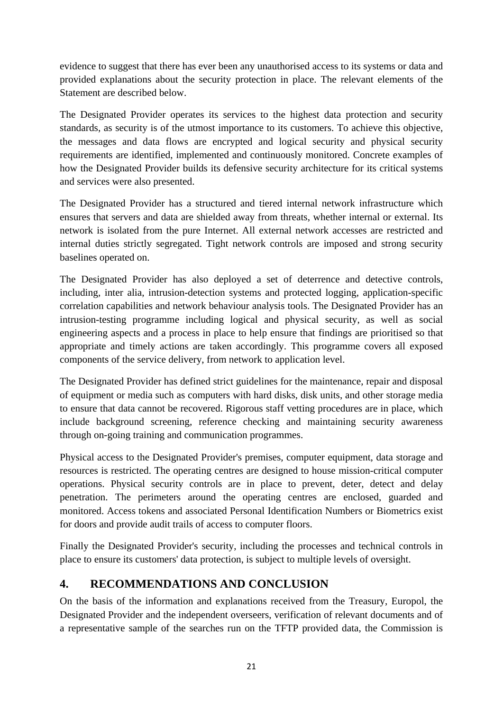evidence to suggest that there has ever been any unauthorised access to its systems or data and provided explanations about the security protection in place. The relevant elements of the Statement are described below.

The Designated Provider operates its services to the highest data protection and security standards, as security is of the utmost importance to its customers. To achieve this objective, the messages and data flows are encrypted and logical security and physical security requirements are identified, implemented and continuously monitored. Concrete examples of how the Designated Provider builds its defensive security architecture for its critical systems and services were also presented.

The Designated Provider has a structured and tiered internal network infrastructure which ensures that servers and data are shielded away from threats, whether internal or external. Its network is isolated from the pure Internet. All external network accesses are restricted and internal duties strictly segregated. Tight network controls are imposed and strong security baselines operated on.

The Designated Provider has also deployed a set of deterrence and detective controls, including, inter alia, intrusion-detection systems and protected logging, application-specific correlation capabilities and network behaviour analysis tools. The Designated Provider has an intrusion-testing programme including logical and physical security, as well as social engineering aspects and a process in place to help ensure that findings are prioritised so that appropriate and timely actions are taken accordingly. This programme covers all exposed components of the service delivery, from network to application level.

The Designated Provider has defined strict guidelines for the maintenance, repair and disposal of equipment or media such as computers with hard disks, disk units, and other storage media to ensure that data cannot be recovered. Rigorous staff vetting procedures are in place, which include background screening, reference checking and maintaining security awareness through on-going training and communication programmes.

Physical access to the Designated Provider's premises, computer equipment, data storage and resources is restricted. The operating centres are designed to house mission-critical computer operations. Physical security controls are in place to prevent, deter, detect and delay penetration. The perimeters around the operating centres are enclosed, guarded and monitored. Access tokens and associated Personal Identification Numbers or Biometrics exist for doors and provide audit trails of access to computer floors.

Finally the Designated Provider's security, including the processes and technical controls in place to ensure its customers' data protection, is subject to multiple levels of oversight.

# <span id="page-20-0"></span>**4. RECOMMENDATIONS AND CONCLUSION**

On the basis of the information and explanations received from the Treasury, Europol, the Designated Provider and the independent overseers, verification of relevant documents and of a representative sample of the searches run on the TFTP provided data, the Commission is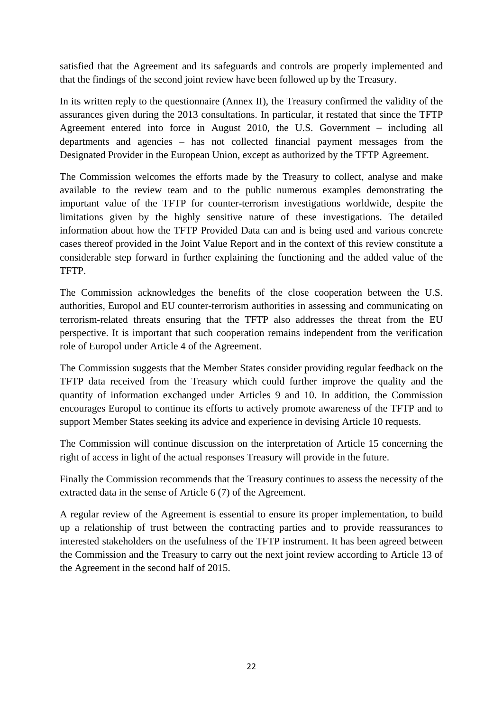satisfied that the Agreement and its safeguards and controls are properly implemented and that the findings of the second joint review have been followed up by the Treasury.

In its written reply to the questionnaire (Annex II), the Treasury confirmed the validity of the assurances given during the 2013 consultations. In particular, it restated that since the TFTP Agreement entered into force in August 2010, the U.S. Government – including all departments and agencies – has not collected financial payment messages from the Designated Provider in the European Union, except as authorized by the TFTP Agreement.

The Commission welcomes the efforts made by the Treasury to collect, analyse and make available to the review team and to the public numerous examples demonstrating the important value of the TFTP for counter-terrorism investigations worldwide, despite the limitations given by the highly sensitive nature of these investigations. The detailed information about how the TFTP Provided Data can and is being used and various concrete cases thereof provided in the Joint Value Report and in the context of this review constitute a considerable step forward in further explaining the functioning and the added value of the TFTP.

The Commission acknowledges the benefits of the close cooperation between the U.S. authorities, Europol and EU counter-terrorism authorities in assessing and communicating on terrorism-related threats ensuring that the TFTP also addresses the threat from the EU perspective. It is important that such cooperation remains independent from the verification role of Europol under Article 4 of the Agreement.

The Commission suggests that the Member States consider providing regular feedback on the TFTP data received from the Treasury which could further improve the quality and the quantity of information exchanged under Articles 9 and 10. In addition, the Commission encourages Europol to continue its efforts to actively promote awareness of the TFTP and to support Member States seeking its advice and experience in devising Article 10 requests.

The Commission will continue discussion on the interpretation of Article 15 concerning the right of access in light of the actual responses Treasury will provide in the future.

Finally the Commission recommends that the Treasury continues to assess the necessity of the extracted data in the sense of Article 6 (7) of the Agreement.

A regular review of the Agreement is essential to ensure its proper implementation, to build up a relationship of trust between the contracting parties and to provide reassurances to interested stakeholders on the usefulness of the TFTP instrument. It has been agreed between the Commission and the Treasury to carry out the next joint review according to Article 13 of the Agreement in the second half of 2015.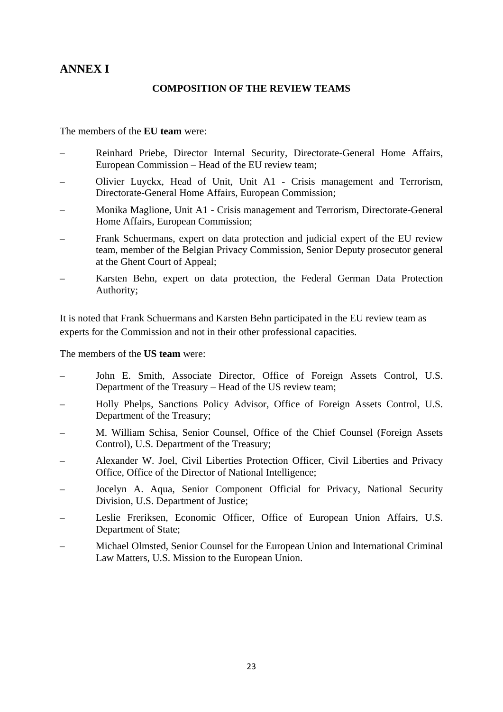# <span id="page-22-0"></span>**ANNEX I**

### **COMPOSITION OF THE REVIEW TEAMS**

The members of the **EU team** were:

- Reinhard Priebe, Director Internal Security, Directorate-General Home Affairs, European Commission – Head of the EU review team;
- Olivier Luyckx, Head of Unit, Unit A1 Crisis management and Terrorism, Directorate-General Home Affairs, European Commission;
- Monika Maglione, Unit A1 Crisis management and Terrorism, Directorate-General Home Affairs, European Commission;
- Frank Schuermans, expert on data protection and judicial expert of the EU review team, member of the Belgian Privacy Commission, Senior Deputy prosecutor general at the Ghent Court of Appeal;
- Karsten Behn, expert on data protection, the Federal German Data Protection Authority;

It is noted that Frank Schuermans and Karsten Behn participated in the EU review team as experts for the Commission and not in their other professional capacities.

The members of the **US team** were:

- John E. Smith, Associate Director, Office of Foreign Assets Control, U.S. Department of the Treasury – Head of the US review team;
- Holly Phelps, Sanctions Policy Advisor, Office of Foreign Assets Control, U.S. Department of the Treasury;
- M. William Schisa, Senior Counsel, Office of the Chief Counsel (Foreign Assets Control), U.S. Department of the Treasury;
- Alexander W. Joel, Civil Liberties Protection Officer, Civil Liberties and Privacy Office, Office of the Director of National Intelligence;
- Jocelyn A. Aqua, Senior Component Official for Privacy, National Security Division, U.S. Department of Justice;
- Leslie Freriksen, Economic Officer, Office of European Union Affairs, U.S. Department of State;
- Michael Olmsted, Senior Counsel for the European Union and International Criminal Law Matters, U.S. Mission to the European Union.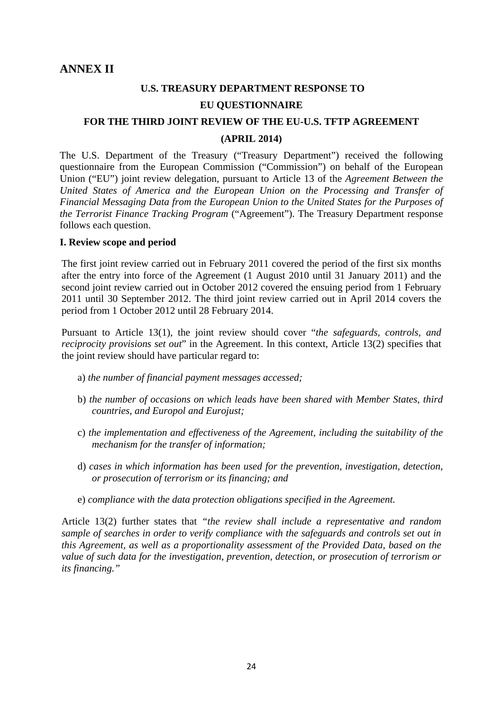# **U.S. TREASURY DEPARTMENT RESPONSE TO EU QUESTIONNAIRE**

### <span id="page-23-0"></span>**FOR THE THIRD JOINT REVIEW OF THE EU-U.S. TFTP AGREEMENT (APRIL 2014)**

The U.S. Department of the Treasury ("Treasury Department") received the following questionnaire from the European Commission ("Commission") on behalf of the European Union ("EU") joint review delegation, pursuant to Article 13 of the *Agreement Between the United States of America and the European Union on the Processing and Transfer of Financial Messaging Data from the European Union to the United States for the Purposes of the Terrorist Finance Tracking Program* ("Agreement"). The Treasury Department response follows each question.

#### **I. Review scope and period**

The first joint review carried out in February 2011 covered the period of the first six months after the entry into force of the Agreement (1 August 2010 until 31 January 2011) and the second joint review carried out in October 2012 covered the ensuing period from 1 February 2011 until 30 September 2012. The third joint review carried out in April 2014 covers the period from 1 October 2012 until 28 February 2014.

Pursuant to Article 13(1), the joint review should cover "*the safeguards, controls, and reciprocity provisions set out*" in the Agreement. In this context, Article 13(2) specifies that the joint review should have particular regard to:

- a) *the number of financial payment messages accessed;*
- b) *the number of occasions on which leads have been shared with Member States, third countries, and Europol and Eurojust;*
- c) *the implementation and effectiveness of the Agreement, including the suitability of the mechanism for the transfer of information;*
- d) *cases in which information has been used for the prevention, investigation, detection, or prosecution of terrorism or its financing; and*
- e) *compliance with the data protection obligations specified in the Agreement.*

Article 13(2) further states that *"the review shall include a representative and random sample of searches in order to verify compliance with the safeguards and controls set out in this Agreement, as well as a proportionality assessment of the Provided Data, based on the value of such data for the investigation, prevention, detection, or prosecution of terrorism or its financing."*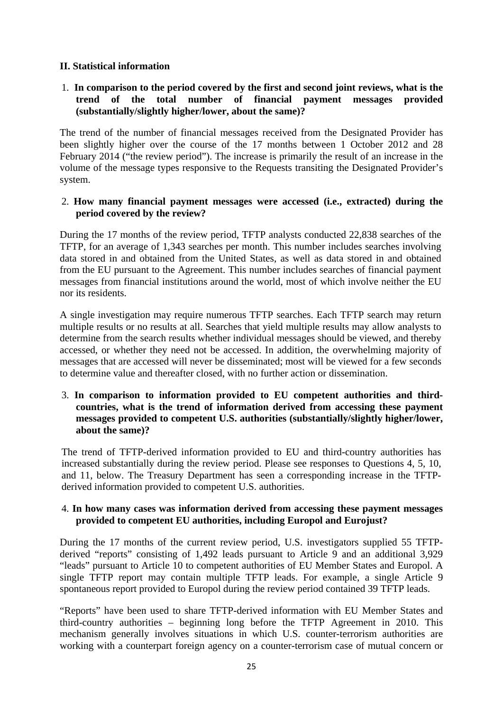### **II. Statistical information**

### 1. **In comparison to the period covered by the first and second joint reviews, what is the trend of the total number of financial payment messages provided (substantially/slightly higher/lower, about the same)?**

The trend of the number of financial messages received from the Designated Provider has been slightly higher over the course of the 17 months between 1 October 2012 and 28 February 2014 ("the review period"). The increase is primarily the result of an increase in the volume of the message types responsive to the Requests transiting the Designated Provider's system.

#### 2. **How many financial payment messages were accessed (i.e., extracted) during the period covered by the review?**

During the 17 months of the review period, TFTP analysts conducted 22,838 searches of the TFTP, for an average of 1,343 searches per month. This number includes searches involving data stored in and obtained from the United States, as well as data stored in and obtained from the EU pursuant to the Agreement. This number includes searches of financial payment messages from financial institutions around the world, most of which involve neither the EU nor its residents.

A single investigation may require numerous TFTP searches. Each TFTP search may return multiple results or no results at all. Searches that yield multiple results may allow analysts to determine from the search results whether individual messages should be viewed, and thereby accessed, or whether they need not be accessed. In addition, the overwhelming majority of messages that are accessed will never be disseminated; most will be viewed for a few seconds to determine value and thereafter closed, with no further action or dissemination.

#### 3. **In comparison to information provided to EU competent authorities and thirdcountries, what is the trend of information derived from accessing these payment messages provided to competent U.S. authorities (substantially/slightly higher/lower, about the same)?**

The trend of TFTP-derived information provided to EU and third-country authorities has increased substantially during the review period. Please see responses to Questions 4, 5, 10, and 11, below. The Treasury Department has seen a corresponding increase in the TFTPderived information provided to competent U.S. authorities.

#### 4. **In how many cases was information derived from accessing these payment messages provided to competent EU authorities, including Europol and Eurojust?**

During the 17 months of the current review period, U.S. investigators supplied 55 TFTPderived "reports" consisting of 1,492 leads pursuant to Article 9 and an additional 3,929 "leads" pursuant to Article 10 to competent authorities of EU Member States and Europol. A single TFTP report may contain multiple TFTP leads. For example, a single Article 9 spontaneous report provided to Europol during the review period contained 39 TFTP leads.

"Reports" have been used to share TFTP-derived information with EU Member States and third-country authorities – beginning long before the TFTP Agreement in 2010. This mechanism generally involves situations in which U.S. counter-terrorism authorities are working with a counterpart foreign agency on a counter-terrorism case of mutual concern or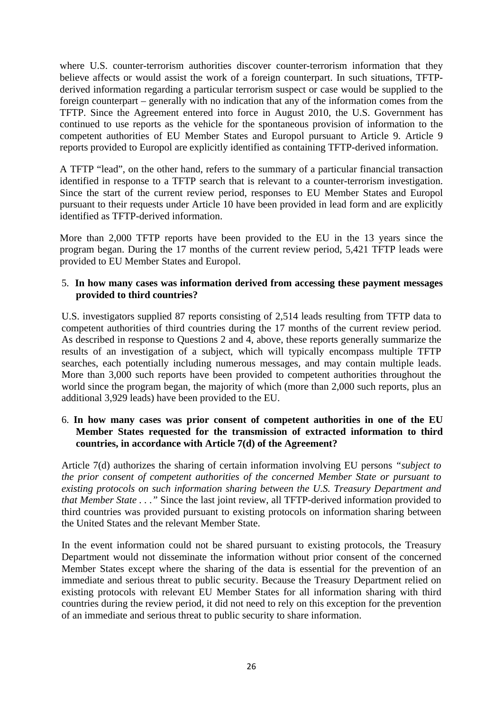where U.S. counter-terrorism authorities discover counter-terrorism information that they believe affects or would assist the work of a foreign counterpart. In such situations, TFTPderived information regarding a particular terrorism suspect or case would be supplied to the foreign counterpart – generally with no indication that any of the information comes from the TFTP. Since the Agreement entered into force in August 2010, the U.S. Government has continued to use reports as the vehicle for the spontaneous provision of information to the competent authorities of EU Member States and Europol pursuant to Article 9. Article 9 reports provided to Europol are explicitly identified as containing TFTP-derived information.

A TFTP "lead", on the other hand, refers to the summary of a particular financial transaction identified in response to a TFTP search that is relevant to a counter-terrorism investigation. Since the start of the current review period, responses to EU Member States and Europol pursuant to their requests under Article 10 have been provided in lead form and are explicitly identified as TFTP-derived information.

More than 2,000 TFTP reports have been provided to the EU in the 13 years since the program began. During the 17 months of the current review period, 5,421 TFTP leads were provided to EU Member States and Europol.

#### 5. **In how many cases was information derived from accessing these payment messages provided to third countries?**

U.S. investigators supplied 87 reports consisting of 2,514 leads resulting from TFTP data to competent authorities of third countries during the 17 months of the current review period. As described in response to Questions 2 and 4, above, these reports generally summarize the results of an investigation of a subject, which will typically encompass multiple TFTP searches, each potentially including numerous messages, and may contain multiple leads. More than 3,000 such reports have been provided to competent authorities throughout the world since the program began, the majority of which (more than 2,000 such reports, plus an additional 3,929 leads) have been provided to the EU.

### 6. **In how many cases was prior consent of competent authorities in one of the EU Member States requested for the transmission of extracted information to third countries, in accordance with Article 7(d) of the Agreement?**

Article 7(d) authorizes the sharing of certain information involving EU persons *"subject to the prior consent of competent authorities of the concerned Member State or pursuant to existing protocols on such information sharing between the U.S. Treasury Department and that Member State . . ."* Since the last joint review, all TFTP-derived information provided to third countries was provided pursuant to existing protocols on information sharing between the United States and the relevant Member State.

In the event information could not be shared pursuant to existing protocols, the Treasury Department would not disseminate the information without prior consent of the concerned Member States except where the sharing of the data is essential for the prevention of an immediate and serious threat to public security. Because the Treasury Department relied on existing protocols with relevant EU Member States for all information sharing with third countries during the review period, it did not need to rely on this exception for the prevention of an immediate and serious threat to public security to share information.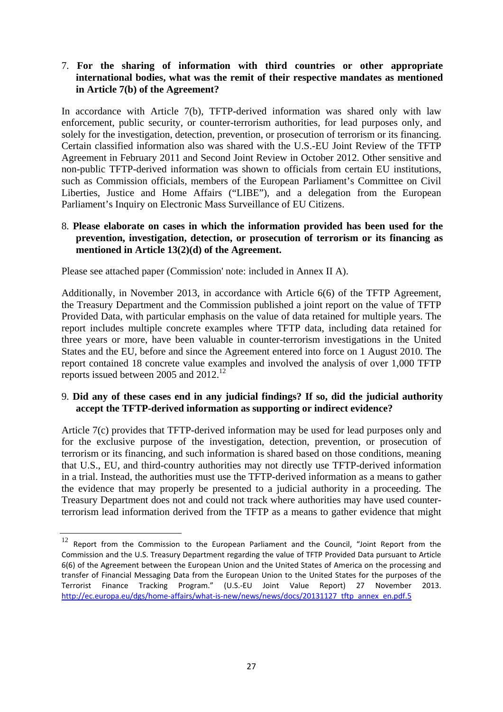### 7. **For the sharing of information with third countries or other appropriate international bodies, what was the remit of their respective mandates as mentioned in Article 7(b) of the Agreement?**

In accordance with Article 7(b), TFTP-derived information was shared only with law enforcement, public security, or counter-terrorism authorities, for lead purposes only, and solely for the investigation, detection, prevention, or prosecution of terrorism or its financing. Certain classified information also was shared with the U.S.-EU Joint Review of the TFTP Agreement in February 2011 and Second Joint Review in October 2012. Other sensitive and non-public TFTP-derived information was shown to officials from certain EU institutions, such as Commission officials, members of the European Parliament's Committee on Civil Liberties, Justice and Home Affairs ("LIBE"), and a delegation from the European Parliament's Inquiry on Electronic Mass Surveillance of EU Citizens.

#### 8. **Please elaborate on cases in which the information provided has been used for the prevention, investigation, detection, or prosecution of terrorism or its financing as mentioned in Article 13(2)(d) of the Agreement.**

Please see attached paper (Commission' note: included in Annex II A).

**.** 

Additionally, in November 2013, in accordance with Article 6(6) of the TFTP Agreement, the Treasury Department and the Commission published a joint report on the value of TFTP Provided Data, with particular emphasis on the value of data retained for multiple years. The report includes multiple concrete examples where TFTP data, including data retained for three years or more, have been valuable in counter-terrorism investigations in the United States and the EU, before and since the Agreement entered into force on 1 August 2010. The report contained 18 concrete value examples and involved the analysis of over 1,000 TFTP reports issued between 2005 and 2012.<sup>12</sup>

#### 9. **Did any of these cases end in any judicial findings? If so, did the judicial authority accept the TFTP-derived information as supporting or indirect evidence?**

Article 7(c) provides that TFTP-derived information may be used for lead purposes only and for the exclusive purpose of the investigation, detection, prevention, or prosecution of terrorism or its financing, and such information is shared based on those conditions, meaning that U.S., EU, and third-country authorities may not directly use TFTP-derived information in a trial. Instead, the authorities must use the TFTP-derived information as a means to gather the evidence that may properly be presented to a judicial authority in a proceeding. The Treasury Department does not and could not track where authorities may have used counterterrorism lead information derived from the TFTP as a means to gather evidence that might

 $12$  Report from the Commission to the European Parliament and the Council, "Joint Report from the Commission and the U.S. Treasury Department regarding the value of TFTP Provided Data pursuant to Article 6(6) of the Agreement between the European Union and the United States of America on the processing and transfer of Financial Messaging Data from the European Union to the United States for the purposes of the Terrorist Finance Tracking Program." (U.S.-EU Joint Value Report) 27 November 2013. [http://ec.europa.eu/dgs/home-affairs/what-is-](http://ec.europa.eu/dgs/home-affairs/what-is-new/news/news/docs/20131127_tftp_annex_en.pdf.5)new/news/news/docs/20131127\_tftp\_annex\_en.pdf.5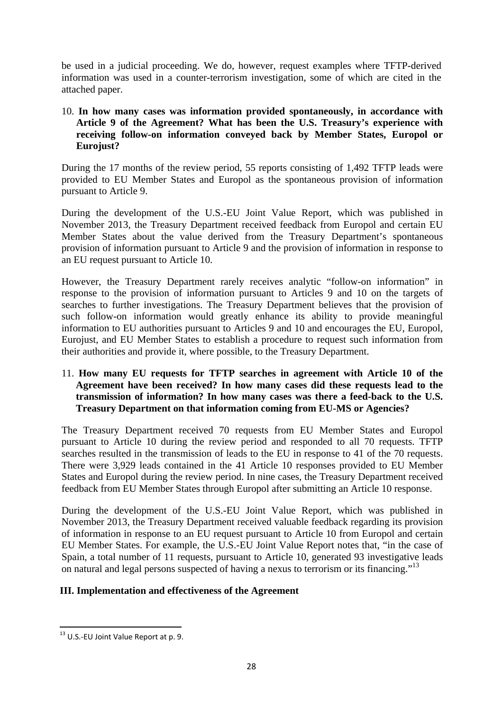be used in a judicial proceeding. We do, however, request examples where TFTP-derived information was used in a counter-terrorism investigation, some of which are cited in the attached paper.

#### 10. **In how many cases was information provided spontaneously, in accordance with Article 9 of the Agreement? What has been the U.S. Treasury's experience with receiving follow-on information conveyed back by Member States, Europol or Eurojust?**

During the 17 months of the review period, 55 reports consisting of 1,492 TFTP leads were provided to EU Member States and Europol as the spontaneous provision of information pursuant to Article 9.

During the development of the U.S.-EU Joint Value Report, which was published in November 2013, the Treasury Department received feedback from Europol and certain EU Member States about the value derived from the Treasury Department's spontaneous provision of information pursuant to Article 9 and the provision of information in response to an EU request pursuant to Article 10.

However, the Treasury Department rarely receives analytic "follow-on information" in response to the provision of information pursuant to Articles 9 and 10 on the targets of searches to further investigations. The Treasury Department believes that the provision of such follow-on information would greatly enhance its ability to provide meaningful information to EU authorities pursuant to Articles 9 and 10 and encourages the EU, Europol, Eurojust, and EU Member States to establish a procedure to request such information from their authorities and provide it, where possible, to the Treasury Department.

#### 11. **How many EU requests for TFTP searches in agreement with Article 10 of the Agreement have been received? In how many cases did these requests lead to the transmission of information? In how many cases was there a feed-back to the U.S. Treasury Department on that information coming from EU-MS or Agencies?**

The Treasury Department received 70 requests from EU Member States and Europol pursuant to Article 10 during the review period and responded to all 70 requests. TFTP searches resulted in the transmission of leads to the EU in response to 41 of the 70 requests. There were 3,929 leads contained in the 41 Article 10 responses provided to EU Member States and Europol during the review period. In nine cases, the Treasury Department received feedback from EU Member States through Europol after submitting an Article 10 response.

During the development of the U.S.-EU Joint Value Report, which was published in November 2013, the Treasury Department received valuable feedback regarding its provision of information in response to an EU request pursuant to Article 10 from Europol and certain EU Member States. For example, the U.S.-EU Joint Value Report notes that, "in the case of Spain, a total number of 11 requests, pursuant to Article 10, generated 93 investigative leads on natural and legal persons suspected of having a nexus to terrorism or its financing."13

### **III. Implementation and effectiveness of the Agreement**

**<sup>.</sup>**  $13$  U.S.-EU Joint Value Report at p. 9.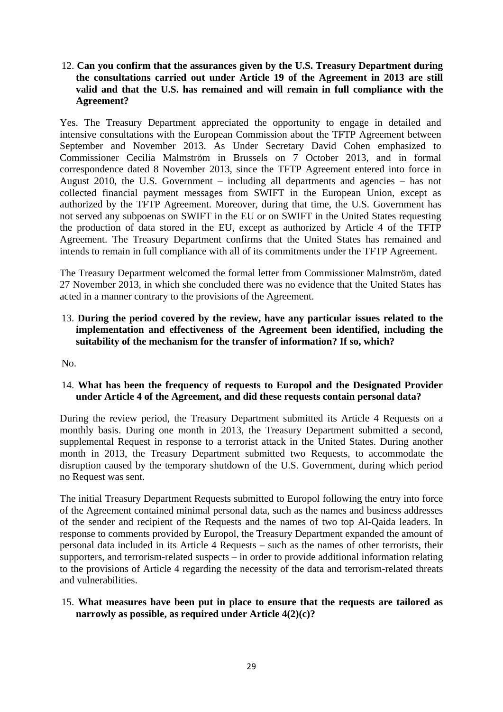#### 12. **Can you confirm that the assurances given by the U.S. Treasury Department during the consultations carried out under Article 19 of the Agreement in 2013 are still valid and that the U.S. has remained and will remain in full compliance with the Agreement?**

Yes. The Treasury Department appreciated the opportunity to engage in detailed and intensive consultations with the European Commission about the TFTP Agreement between September and November 2013. As Under Secretary David Cohen emphasized to Commissioner Cecilia Malmström in Brussels on 7 October 2013, and in formal correspondence dated 8 November 2013, since the TFTP Agreement entered into force in August 2010, the U.S. Government – including all departments and agencies – has not collected financial payment messages from SWIFT in the European Union, except as authorized by the TFTP Agreement. Moreover, during that time, the U.S. Government has not served any subpoenas on SWIFT in the EU or on SWIFT in the United States requesting the production of data stored in the EU, except as authorized by Article 4 of the TFTP Agreement. The Treasury Department confirms that the United States has remained and intends to remain in full compliance with all of its commitments under the TFTP Agreement.

The Treasury Department welcomed the formal letter from Commissioner Malmström, dated 27 November 2013, in which she concluded there was no evidence that the United States has acted in a manner contrary to the provisions of the Agreement.

#### 13. **During the period covered by the review, have any particular issues related to the implementation and effectiveness of the Agreement been identified, including the suitability of the mechanism for the transfer of information? If so, which?**

No.

### 14. **What has been the frequency of requests to Europol and the Designated Provider under Article 4 of the Agreement, and did these requests contain personal data?**

During the review period, the Treasury Department submitted its Article 4 Requests on a monthly basis. During one month in 2013, the Treasury Department submitted a second, supplemental Request in response to a terrorist attack in the United States. During another month in 2013, the Treasury Department submitted two Requests, to accommodate the disruption caused by the temporary shutdown of the U.S. Government, during which period no Request was sent.

The initial Treasury Department Requests submitted to Europol following the entry into force of the Agreement contained minimal personal data, such as the names and business addresses of the sender and recipient of the Requests and the names of two top Al-Qaida leaders. In response to comments provided by Europol, the Treasury Department expanded the amount of personal data included in its Article 4 Requests – such as the names of other terrorists, their supporters, and terrorism-related suspects – in order to provide additional information relating to the provisions of Article 4 regarding the necessity of the data and terrorism-related threats and vulnerabilities.

### 15. **What measures have been put in place to ensure that the requests are tailored as narrowly as possible, as required under Article 4(2)(c)?**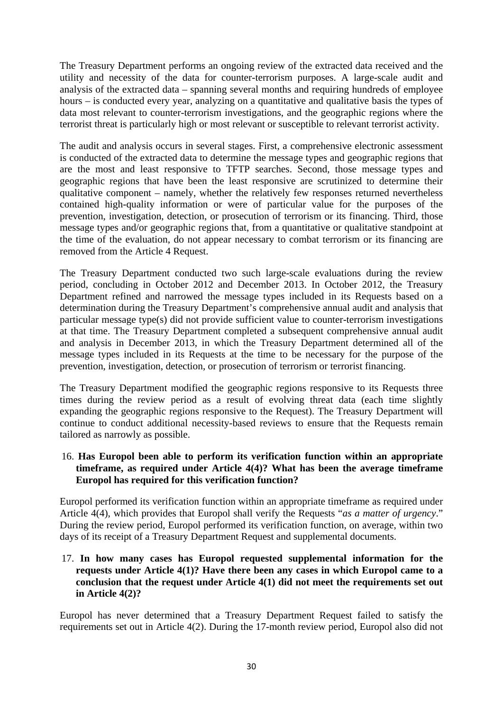The Treasury Department performs an ongoing review of the extracted data received and the utility and necessity of the data for counter-terrorism purposes. A large-scale audit and analysis of the extracted data – spanning several months and requiring hundreds of employee hours – is conducted every year, analyzing on a quantitative and qualitative basis the types of data most relevant to counter-terrorism investigations, and the geographic regions where the terrorist threat is particularly high or most relevant or susceptible to relevant terrorist activity.

The audit and analysis occurs in several stages. First, a comprehensive electronic assessment is conducted of the extracted data to determine the message types and geographic regions that are the most and least responsive to TFTP searches. Second, those message types and geographic regions that have been the least responsive are scrutinized to determine their qualitative component – namely, whether the relatively few responses returned nevertheless contained high-quality information or were of particular value for the purposes of the prevention, investigation, detection, or prosecution of terrorism or its financing. Third, those message types and/or geographic regions that, from a quantitative or qualitative standpoint at the time of the evaluation, do not appear necessary to combat terrorism or its financing are removed from the Article 4 Request.

The Treasury Department conducted two such large-scale evaluations during the review period, concluding in October 2012 and December 2013. In October 2012, the Treasury Department refined and narrowed the message types included in its Requests based on a determination during the Treasury Department's comprehensive annual audit and analysis that particular message type(s) did not provide sufficient value to counter-terrorism investigations at that time. The Treasury Department completed a subsequent comprehensive annual audit and analysis in December 2013, in which the Treasury Department determined all of the message types included in its Requests at the time to be necessary for the purpose of the prevention, investigation, detection, or prosecution of terrorism or terrorist financing.

The Treasury Department modified the geographic regions responsive to its Requests three times during the review period as a result of evolving threat data (each time slightly expanding the geographic regions responsive to the Request). The Treasury Department will continue to conduct additional necessity-based reviews to ensure that the Requests remain tailored as narrowly as possible.

#### 16. **Has Europol been able to perform its verification function within an appropriate timeframe, as required under Article 4(4)? What has been the average timeframe Europol has required for this verification function?**

Europol performed its verification function within an appropriate timeframe as required under Article 4(4), which provides that Europol shall verify the Requests "*as a matter of urgency*." During the review period, Europol performed its verification function, on average, within two days of its receipt of a Treasury Department Request and supplemental documents.

#### 17. **In how many cases has Europol requested supplemental information for the requests under Article 4(1)? Have there been any cases in which Europol came to a conclusion that the request under Article 4(1) did not meet the requirements set out in Article 4(2)?**

Europol has never determined that a Treasury Department Request failed to satisfy the requirements set out in Article 4(2). During the 17-month review period, Europol also did not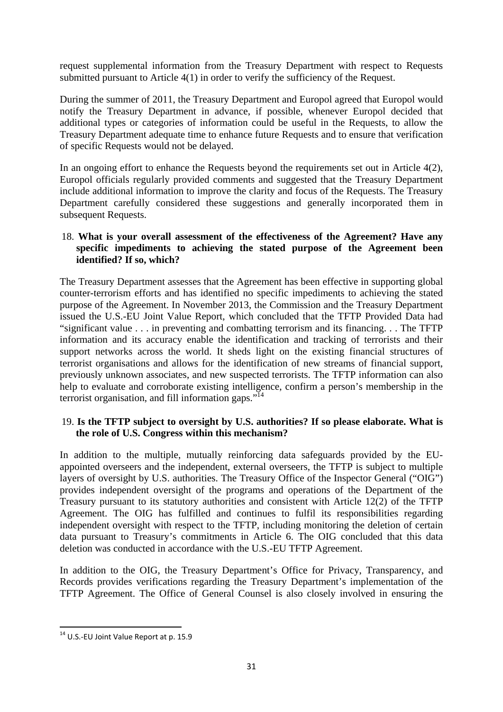request supplemental information from the Treasury Department with respect to Requests submitted pursuant to Article 4(1) in order to verify the sufficiency of the Request.

During the summer of 2011, the Treasury Department and Europol agreed that Europol would notify the Treasury Department in advance, if possible, whenever Europol decided that additional types or categories of information could be useful in the Requests, to allow the Treasury Department adequate time to enhance future Requests and to ensure that verification of specific Requests would not be delayed.

In an ongoing effort to enhance the Requests beyond the requirements set out in Article  $4(2)$ , Europol officials regularly provided comments and suggested that the Treasury Department include additional information to improve the clarity and focus of the Requests. The Treasury Department carefully considered these suggestions and generally incorporated them in subsequent Requests.

#### 18. **What is your overall assessment of the effectiveness of the Agreement? Have any specific impediments to achieving the stated purpose of the Agreement been identified? If so, which?**

The Treasury Department assesses that the Agreement has been effective in supporting global counter-terrorism efforts and has identified no specific impediments to achieving the stated purpose of the Agreement. In November 2013, the Commission and the Treasury Department issued the U.S.-EU Joint Value Report, which concluded that the TFTP Provided Data had "significant value . . . in preventing and combatting terrorism and its financing. . . The TFTP information and its accuracy enable the identification and tracking of terrorists and their support networks across the world. It sheds light on the existing financial structures of terrorist organisations and allows for the identification of new streams of financial support, previously unknown associates, and new suspected terrorists. The TFTP information can also help to evaluate and corroborate existing intelligence, confirm a person's membership in the terrorist organisation, and fill information gaps."<sup>14</sup>

### 19. **Is the TFTP subject to oversight by U.S. authorities? If so please elaborate. What is the role of U.S. Congress within this mechanism?**

In addition to the multiple, mutually reinforcing data safeguards provided by the EUappointed overseers and the independent, external overseers, the TFTP is subject to multiple layers of oversight by U.S. authorities. The Treasury Office of the Inspector General ("OIG") provides independent oversight of the programs and operations of the Department of the Treasury pursuant to its statutory authorities and consistent with Article 12(2) of the TFTP Agreement. The OIG has fulfilled and continues to fulfil its responsibilities regarding independent oversight with respect to the TFTP, including monitoring the deletion of certain data pursuant to Treasury's commitments in Article 6. The OIG concluded that this data deletion was conducted in accordance with the U.S.-EU TFTP Agreement.

In addition to the OIG, the Treasury Department's Office for Privacy, Transparency, and Records provides verifications regarding the Treasury Department's implementation of the TFTP Agreement. The Office of General Counsel is also closely involved in ensuring the

**<sup>.</sup>** <sup>14</sup> U.S.-EU Joint Value Report at p. 15.9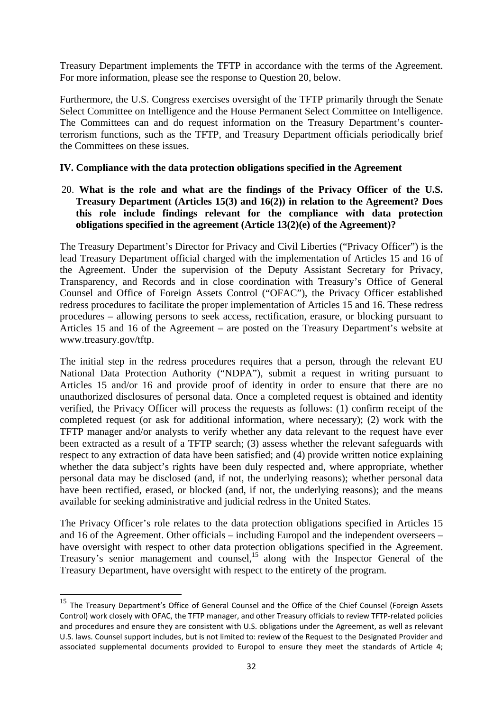Treasury Department implements the TFTP in accordance with the terms of the Agreement. For more information, please see the response to Question 20, below.

Furthermore, the U.S. Congress exercises oversight of the TFTP primarily through the Senate Select Committee on Intelligence and the House Permanent Select Committee on Intelligence. The Committees can and do request information on the Treasury Department's counterterrorism functions, such as the TFTP, and Treasury Department officials periodically brief the Committees on these issues.

#### **IV. Compliance with the data protection obligations specified in the Agreement**

20. **What is the role and what are the findings of the Privacy Officer of the U.S. Treasury Department (Articles 15(3) and 16(2)) in relation to the Agreement? Does this role include findings relevant for the compliance with data protection obligations specified in the agreement (Article 13(2)(e) of the Agreement)?** 

The Treasury Department's Director for Privacy and Civil Liberties ("Privacy Officer") is the lead Treasury Department official charged with the implementation of Articles 15 and 16 of the Agreement. Under the supervision of the Deputy Assistant Secretary for Privacy, Transparency, and Records and in close coordination with Treasury's Office of General Counsel and Office of Foreign Assets Control ("OFAC"), the Privacy Officer established redress procedures to facilitate the proper implementation of Articles 15 and 16. These redress procedures – allowing persons to seek access, rectification, erasure, or blocking pursuant to Articles 15 and 16 of the Agreement – are posted on the Treasury Department's website at www.treasury.gov/tftp.

The initial step in the redress procedures requires that a person, through the relevant EU National Data Protection Authority ("NDPA"), submit a request in writing pursuant to Articles 15 and/or 16 and provide proof of identity in order to ensure that there are no unauthorized disclosures of personal data. Once a completed request is obtained and identity verified, the Privacy Officer will process the requests as follows: (1) confirm receipt of the completed request (or ask for additional information, where necessary); (2) work with the TFTP manager and/or analysts to verify whether any data relevant to the request have ever been extracted as a result of a TFTP search; (3) assess whether the relevant safeguards with respect to any extraction of data have been satisfied; and (4) provide written notice explaining whether the data subject's rights have been duly respected and, where appropriate, whether personal data may be disclosed (and, if not, the underlying reasons); whether personal data have been rectified, erased, or blocked (and, if not, the underlying reasons); and the means available for seeking administrative and judicial redress in the United States.

The Privacy Officer's role relates to the data protection obligations specified in Articles 15 and 16 of the Agreement. Other officials – including Europol and the independent overseers – have oversight with respect to other data protection obligations specified in the Agreement. Treasury's senior management and counsel,<sup>15</sup> along with the Inspector General of the Treasury Department, have oversight with respect to the entirety of the program.

**.** 

<sup>&</sup>lt;sup>15</sup> The Treasury Department's Office of General Counsel and the Office of the Chief Counsel (Foreign Assets Control) work closely with OFAC, the TFTP manager, and other Treasury officials to review TFTP-related policies and procedures and ensure they are consistent with U.S. obligations under the Agreement, as well as relevant U.S. laws. Counsel support includes, but is not limited to: review of the Request to the Designated Provider and associated supplemental documents provided to Europol to ensure they meet the standards of Article 4;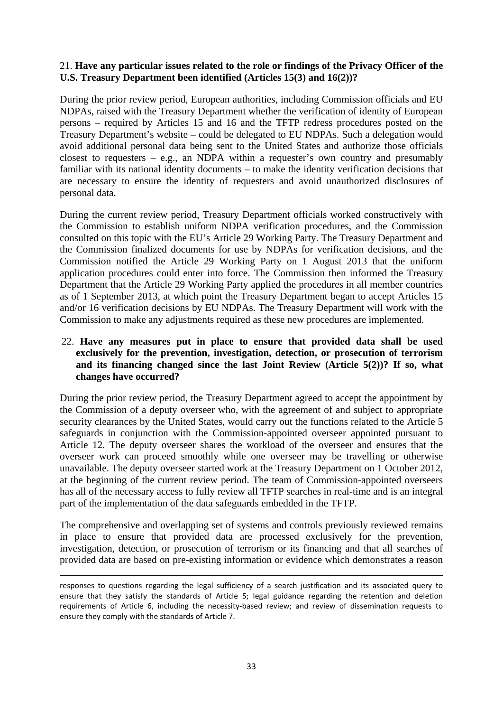#### 21. **Have any particular issues related to the role or findings of the Privacy Officer of the U.S. Treasury Department been identified (Articles 15(3) and 16(2))?**

During the prior review period, European authorities, including Commission officials and EU NDPAs, raised with the Treasury Department whether the verification of identity of European persons – required by Articles 15 and 16 and the TFTP redress procedures posted on the Treasury Department's website – could be delegated to EU NDPAs. Such a delegation would avoid additional personal data being sent to the United States and authorize those officials closest to requesters  $-$  e.g., an NDPA within a requester's own country and presumably familiar with its national identity documents – to make the identity verification decisions that are necessary to ensure the identity of requesters and avoid unauthorized disclosures of personal data.

During the current review period, Treasury Department officials worked constructively with the Commission to establish uniform NDPA verification procedures, and the Commission consulted on this topic with the EU's Article 29 Working Party. The Treasury Department and the Commission finalized documents for use by NDPAs for verification decisions, and the Commission notified the Article 29 Working Party on 1 August 2013 that the uniform application procedures could enter into force. The Commission then informed the Treasury Department that the Article 29 Working Party applied the procedures in all member countries as of 1 September 2013, at which point the Treasury Department began to accept Articles 15 and/or 16 verification decisions by EU NDPAs. The Treasury Department will work with the Commission to make any adjustments required as these new procedures are implemented.

#### 22. **Have any measures put in place to ensure that provided data shall be used exclusively for the prevention, investigation, detection, or prosecution of terrorism and its financing changed since the last Joint Review (Article 5(2))? If so, what changes have occurred?**

During the prior review period, the Treasury Department agreed to accept the appointment by the Commission of a deputy overseer who, with the agreement of and subject to appropriate security clearances by the United States, would carry out the functions related to the Article 5 safeguards in conjunction with the Commission-appointed overseer appointed pursuant to Article 12. The deputy overseer shares the workload of the overseer and ensures that the overseer work can proceed smoothly while one overseer may be travelling or otherwise unavailable. The deputy overseer started work at the Treasury Department on 1 October 2012, at the beginning of the current review period. The team of Commission-appointed overseers has all of the necessary access to fully review all TFTP searches in real-time and is an integral part of the implementation of the data safeguards embedded in the TFTP.

The comprehensive and overlapping set of systems and controls previously reviewed remains in place to ensure that provided data are processed exclusively for the prevention, investigation, detection, or prosecution of terrorism or its financing and that all searches of provided data are based on pre-existing information or evidence which demonstrates a reason

**.** 

responses to questions regarding the legal sufficiency of a search justification and its associated query to ensure that they satisfy the standards of Article 5; legal guidance regarding the retention and deletion requirements of Article 6, including the necessity-based review; and review of dissemination requests to ensure they comply with the standards of Article 7.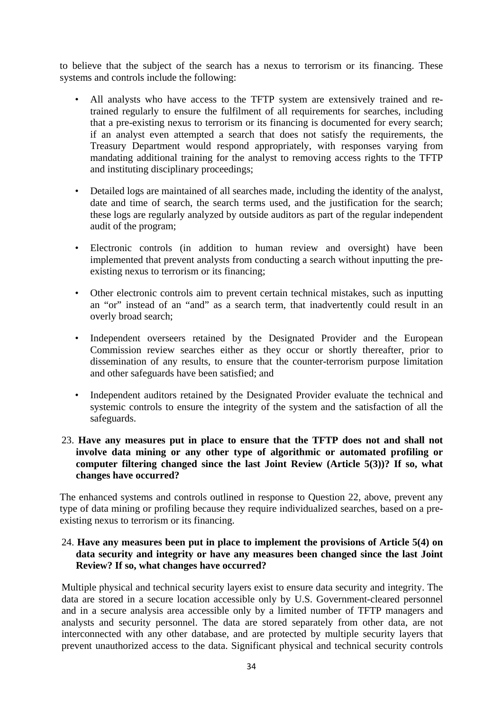to believe that the subject of the search has a nexus to terrorism or its financing. These systems and controls include the following:

- All analysts who have access to the TFTP system are extensively trained and retrained regularly to ensure the fulfilment of all requirements for searches, including that a pre-existing nexus to terrorism or its financing is documented for every search; if an analyst even attempted a search that does not satisfy the requirements, the Treasury Department would respond appropriately, with responses varying from mandating additional training for the analyst to removing access rights to the TFTP and instituting disciplinary proceedings;
- Detailed logs are maintained of all searches made, including the identity of the analyst, date and time of search, the search terms used, and the justification for the search; these logs are regularly analyzed by outside auditors as part of the regular independent audit of the program;
- Electronic controls (in addition to human review and oversight) have been implemented that prevent analysts from conducting a search without inputting the preexisting nexus to terrorism or its financing;
- Other electronic controls aim to prevent certain technical mistakes, such as inputting an "or" instead of an "and" as a search term, that inadvertently could result in an overly broad search;
- Independent overseers retained by the Designated Provider and the European Commission review searches either as they occur or shortly thereafter, prior to dissemination of any results, to ensure that the counter-terrorism purpose limitation and other safeguards have been satisfied; and
- Independent auditors retained by the Designated Provider evaluate the technical and systemic controls to ensure the integrity of the system and the satisfaction of all the safeguards.

#### 23. **Have any measures put in place to ensure that the TFTP does not and shall not involve data mining or any other type of algorithmic or automated profiling or computer filtering changed since the last Joint Review (Article 5(3))? If so, what changes have occurred?**

The enhanced systems and controls outlined in response to Question 22, above, prevent any type of data mining or profiling because they require individualized searches, based on a preexisting nexus to terrorism or its financing.

#### 24. **Have any measures been put in place to implement the provisions of Article 5(4) on data security and integrity or have any measures been changed since the last Joint Review? If so, what changes have occurred?**

Multiple physical and technical security layers exist to ensure data security and integrity. The data are stored in a secure location accessible only by U.S. Government-cleared personnel and in a secure analysis area accessible only by a limited number of TFTP managers and analysts and security personnel. The data are stored separately from other data, are not interconnected with any other database, and are protected by multiple security layers that prevent unauthorized access to the data. Significant physical and technical security controls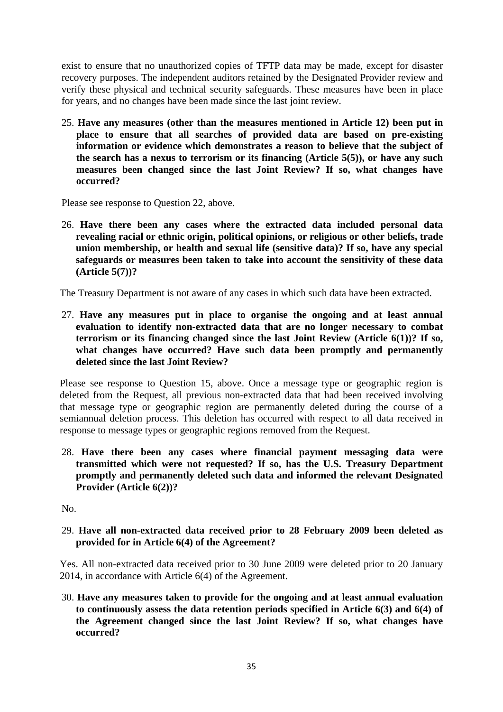exist to ensure that no unauthorized copies of TFTP data may be made, except for disaster recovery purposes. The independent auditors retained by the Designated Provider review and verify these physical and technical security safeguards. These measures have been in place for years, and no changes have been made since the last joint review.

25. **Have any measures (other than the measures mentioned in Article 12) been put in place to ensure that all searches of provided data are based on pre-existing information or evidence which demonstrates a reason to believe that the subject of the search has a nexus to terrorism or its financing (Article 5(5)), or have any such measures been changed since the last Joint Review? If so, what changes have occurred?** 

Please see response to Question 22, above.

26. **Have there been any cases where the extracted data included personal data revealing racial or ethnic origin, political opinions, or religious or other beliefs, trade union membership, or health and sexual life (sensitive data)? If so, have any special safeguards or measures been taken to take into account the sensitivity of these data (Article 5(7))?** 

The Treasury Department is not aware of any cases in which such data have been extracted.

27. **Have any measures put in place to organise the ongoing and at least annual evaluation to identify non-extracted data that are no longer necessary to combat terrorism or its financing changed since the last Joint Review (Article 6(1))? If so, what changes have occurred? Have such data been promptly and permanently deleted since the last Joint Review?** 

Please see response to Question 15, above. Once a message type or geographic region is deleted from the Request, all previous non-extracted data that had been received involving that message type or geographic region are permanently deleted during the course of a semiannual deletion process. This deletion has occurred with respect to all data received in response to message types or geographic regions removed from the Request.

28. **Have there been any cases where financial payment messaging data were transmitted which were not requested? If so, has the U.S. Treasury Department promptly and permanently deleted such data and informed the relevant Designated Provider (Article 6(2))?** 

No.

29. **Have all non-extracted data received prior to 28 February 2009 been deleted as provided for in Article 6(4) of the Agreement?** 

Yes. All non-extracted data received prior to 30 June 2009 were deleted prior to 20 January 2014, in accordance with Article 6(4) of the Agreement.

30. **Have any measures taken to provide for the ongoing and at least annual evaluation to continuously assess the data retention periods specified in Article 6(3) and 6(4) of the Agreement changed since the last Joint Review? If so, what changes have occurred?**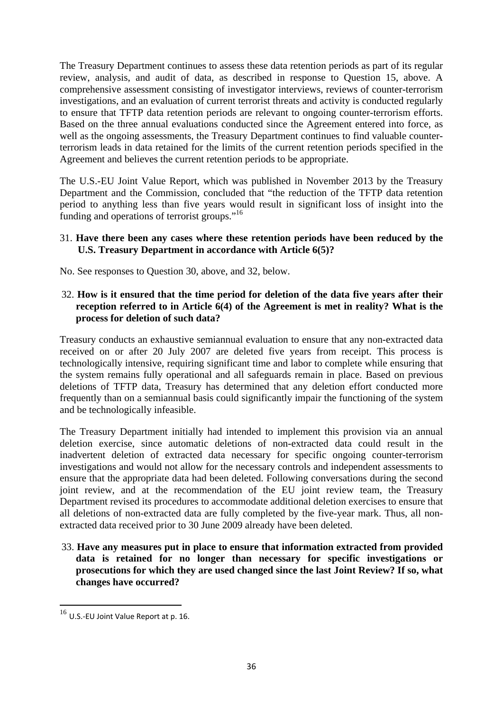The Treasury Department continues to assess these data retention periods as part of its regular review, analysis, and audit of data, as described in response to Question 15, above. A comprehensive assessment consisting of investigator interviews, reviews of counter-terrorism investigations, and an evaluation of current terrorist threats and activity is conducted regularly to ensure that TFTP data retention periods are relevant to ongoing counter-terrorism efforts. Based on the three annual evaluations conducted since the Agreement entered into force, as well as the ongoing assessments, the Treasury Department continues to find valuable counterterrorism leads in data retained for the limits of the current retention periods specified in the Agreement and believes the current retention periods to be appropriate.

The U.S.-EU Joint Value Report, which was published in November 2013 by the Treasury Department and the Commission, concluded that "the reduction of the TFTP data retention period to anything less than five years would result in significant loss of insight into the funding and operations of terrorist groups."<sup>16</sup>

#### 31. **Have there been any cases where these retention periods have been reduced by the U.S. Treasury Department in accordance with Article 6(5)?**

No. See responses to Question 30, above, and 32, below.

#### 32. **How is it ensured that the time period for deletion of the data five years after their reception referred to in Article 6(4) of the Agreement is met in reality? What is the process for deletion of such data?**

Treasury conducts an exhaustive semiannual evaluation to ensure that any non-extracted data received on or after 20 July 2007 are deleted five years from receipt. This process is technologically intensive, requiring significant time and labor to complete while ensuring that the system remains fully operational and all safeguards remain in place. Based on previous deletions of TFTP data, Treasury has determined that any deletion effort conducted more frequently than on a semiannual basis could significantly impair the functioning of the system and be technologically infeasible.

The Treasury Department initially had intended to implement this provision via an annual deletion exercise, since automatic deletions of non-extracted data could result in the inadvertent deletion of extracted data necessary for specific ongoing counter-terrorism investigations and would not allow for the necessary controls and independent assessments to ensure that the appropriate data had been deleted. Following conversations during the second joint review, and at the recommendation of the EU joint review team, the Treasury Department revised its procedures to accommodate additional deletion exercises to ensure that all deletions of non-extracted data are fully completed by the five-year mark. Thus, all nonextracted data received prior to 30 June 2009 already have been deleted.

33. **Have any measures put in place to ensure that information extracted from provided data is retained for no longer than necessary for specific investigations or prosecutions for which they are used changed since the last Joint Review? If so, what changes have occurred?** 

**.** 

 $16$  U.S.-EU Joint Value Report at p. 16.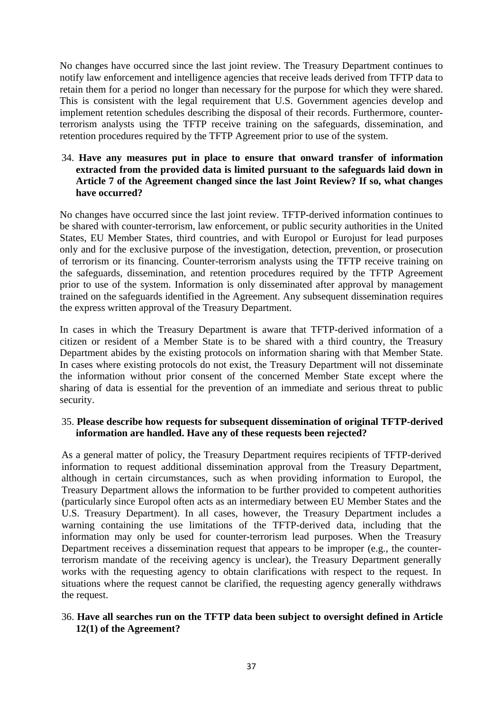No changes have occurred since the last joint review. The Treasury Department continues to notify law enforcement and intelligence agencies that receive leads derived from TFTP data to retain them for a period no longer than necessary for the purpose for which they were shared. This is consistent with the legal requirement that U.S. Government agencies develop and implement retention schedules describing the disposal of their records. Furthermore, counterterrorism analysts using the TFTP receive training on the safeguards, dissemination, and retention procedures required by the TFTP Agreement prior to use of the system.

#### 34. **Have any measures put in place to ensure that onward transfer of information extracted from the provided data is limited pursuant to the safeguards laid down in Article 7 of the Agreement changed since the last Joint Review? If so, what changes have occurred?**

No changes have occurred since the last joint review. TFTP-derived information continues to be shared with counter-terrorism, law enforcement, or public security authorities in the United States, EU Member States, third countries, and with Europol or Eurojust for lead purposes only and for the exclusive purpose of the investigation, detection, prevention, or prosecution of terrorism or its financing. Counter-terrorism analysts using the TFTP receive training on the safeguards, dissemination, and retention procedures required by the TFTP Agreement prior to use of the system. Information is only disseminated after approval by management trained on the safeguards identified in the Agreement. Any subsequent dissemination requires the express written approval of the Treasury Department.

In cases in which the Treasury Department is aware that TFTP-derived information of a citizen or resident of a Member State is to be shared with a third country, the Treasury Department abides by the existing protocols on information sharing with that Member State. In cases where existing protocols do not exist, the Treasury Department will not disseminate the information without prior consent of the concerned Member State except where the sharing of data is essential for the prevention of an immediate and serious threat to public security.

#### 35. **Please describe how requests for subsequent dissemination of original TFTP-derived information are handled. Have any of these requests been rejected?**

As a general matter of policy, the Treasury Department requires recipients of TFTP-derived information to request additional dissemination approval from the Treasury Department, although in certain circumstances, such as when providing information to Europol, the Treasury Department allows the information to be further provided to competent authorities (particularly since Europol often acts as an intermediary between EU Member States and the U.S. Treasury Department). In all cases, however, the Treasury Department includes a warning containing the use limitations of the TFTP-derived data, including that the information may only be used for counter-terrorism lead purposes. When the Treasury Department receives a dissemination request that appears to be improper (e.g., the counterterrorism mandate of the receiving agency is unclear), the Treasury Department generally works with the requesting agency to obtain clarifications with respect to the request. In situations where the request cannot be clarified, the requesting agency generally withdraws the request.

### 36. **Have all searches run on the TFTP data been subject to oversight defined in Article 12(1) of the Agreement?**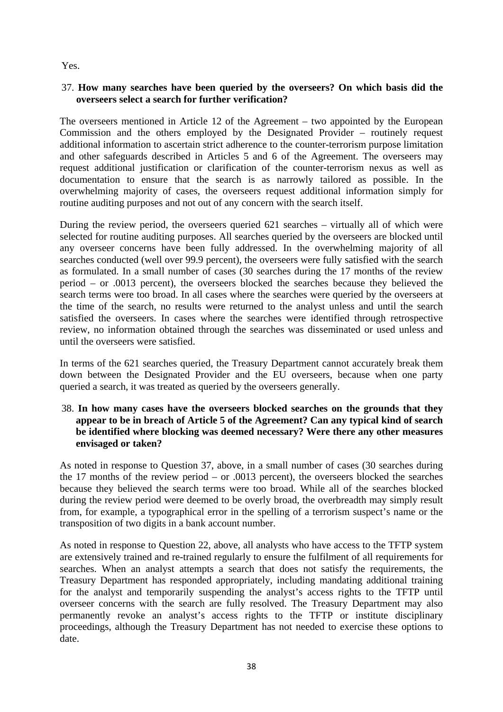Yes.

### 37. **How many searches have been queried by the overseers? On which basis did the overseers select a search for further verification?**

The overseers mentioned in Article 12 of the Agreement – two appointed by the European Commission and the others employed by the Designated Provider – routinely request additional information to ascertain strict adherence to the counter-terrorism purpose limitation and other safeguards described in Articles 5 and 6 of the Agreement. The overseers may request additional justification or clarification of the counter-terrorism nexus as well as documentation to ensure that the search is as narrowly tailored as possible. In the overwhelming majority of cases, the overseers request additional information simply for routine auditing purposes and not out of any concern with the search itself.

During the review period, the overseers queried 621 searches – virtually all of which were selected for routine auditing purposes. All searches queried by the overseers are blocked until any overseer concerns have been fully addressed. In the overwhelming majority of all searches conducted (well over 99.9 percent), the overseers were fully satisfied with the search as formulated. In a small number of cases (30 searches during the 17 months of the review period – or .0013 percent), the overseers blocked the searches because they believed the search terms were too broad. In all cases where the searches were queried by the overseers at the time of the search, no results were returned to the analyst unless and until the search satisfied the overseers. In cases where the searches were identified through retrospective review, no information obtained through the searches was disseminated or used unless and until the overseers were satisfied.

In terms of the 621 searches queried, the Treasury Department cannot accurately break them down between the Designated Provider and the EU overseers, because when one party queried a search, it was treated as queried by the overseers generally.

#### 38. **In how many cases have the overseers blocked searches on the grounds that they appear to be in breach of Article 5 of the Agreement? Can any typical kind of search be identified where blocking was deemed necessary? Were there any other measures envisaged or taken?**

As noted in response to Question 37, above, in a small number of cases (30 searches during the 17 months of the review period – or .0013 percent), the overseers blocked the searches because they believed the search terms were too broad. While all of the searches blocked during the review period were deemed to be overly broad, the overbreadth may simply result from, for example, a typographical error in the spelling of a terrorism suspect's name or the transposition of two digits in a bank account number.

As noted in response to Question 22, above, all analysts who have access to the TFTP system are extensively trained and re-trained regularly to ensure the fulfilment of all requirements for searches. When an analyst attempts a search that does not satisfy the requirements, the Treasury Department has responded appropriately, including mandating additional training for the analyst and temporarily suspending the analyst's access rights to the TFTP until overseer concerns with the search are fully resolved. The Treasury Department may also permanently revoke an analyst's access rights to the TFTP or institute disciplinary proceedings, although the Treasury Department has not needed to exercise these options to date.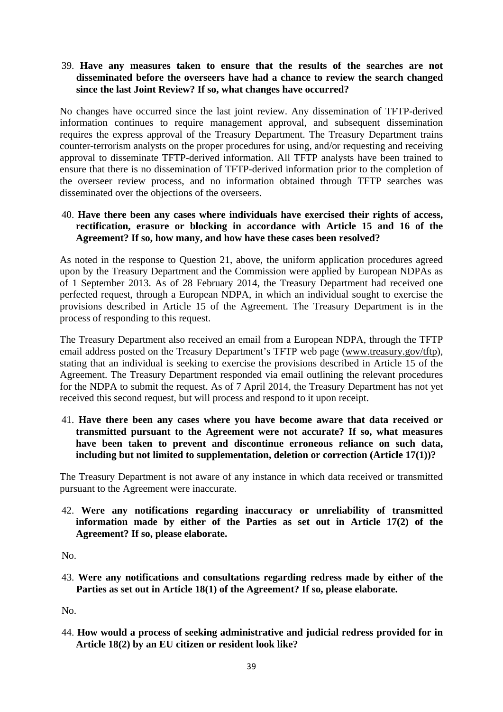#### 39. **Have any measures taken to ensure that the results of the searches are not disseminated before the overseers have had a chance to review the search changed since the last Joint Review? If so, what changes have occurred?**

No changes have occurred since the last joint review. Any dissemination of TFTP-derived information continues to require management approval, and subsequent dissemination requires the express approval of the Treasury Department. The Treasury Department trains counter-terrorism analysts on the proper procedures for using, and/or requesting and receiving approval to disseminate TFTP-derived information. All TFTP analysts have been trained to ensure that there is no dissemination of TFTP-derived information prior to the completion of the overseer review process, and no information obtained through TFTP searches was disseminated over the objections of the overseers.

#### 40. **Have there been any cases where individuals have exercised their rights of access, rectification, erasure or blocking in accordance with Article 15 and 16 of the Agreement? If so, how many, and how have these cases been resolved?**

As noted in the response to Question 21, above, the uniform application procedures agreed upon by the Treasury Department and the Commission were applied by European NDPAs as of 1 September 2013. As of 28 February 2014, the Treasury Department had received one perfected request, through a European NDPA, in which an individual sought to exercise the provisions described in Article 15 of the Agreement. The Treasury Department is in the process of responding to this request.

The Treasury Department also received an email from a European NDPA, through the TFTP email address posted on the Treasury Department's TFTP web page (www.treasury.gov/tftp), stating that an individual is seeking to exercise the provisions described in Article 15 of the Agreement. The Treasury Department responded via email outlining the relevant procedures for the NDPA to submit the request. As of 7 April 2014, the Treasury Department has not yet received this second request, but will process and respond to it upon receipt.

41. **Have there been any cases where you have become aware that data received or transmitted pursuant to the Agreement were not accurate? If so, what measures have been taken to prevent and discontinue erroneous reliance on such data, including but not limited to supplementation, deletion or correction (Article 17(1))?** 

The Treasury Department is not aware of any instance in which data received or transmitted pursuant to the Agreement were inaccurate.

42. **Were any notifications regarding inaccuracy or unreliability of transmitted information made by either of the Parties as set out in Article 17(2) of the Agreement? If so, please elaborate.** 

No.

43. **Were any notifications and consultations regarding redress made by either of the Parties as set out in Article 18(1) of the Agreement? If so, please elaborate.** 

No.

44. **How would a process of seeking administrative and judicial redress provided for in Article 18(2) by an EU citizen or resident look like?**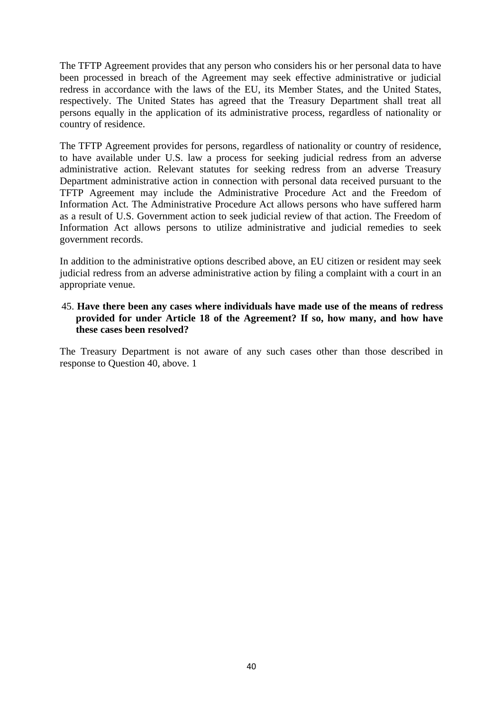The TFTP Agreement provides that any person who considers his or her personal data to have been processed in breach of the Agreement may seek effective administrative or judicial redress in accordance with the laws of the EU, its Member States, and the United States, respectively. The United States has agreed that the Treasury Department shall treat all persons equally in the application of its administrative process, regardless of nationality or country of residence.

The TFTP Agreement provides for persons, regardless of nationality or country of residence, to have available under U.S. law a process for seeking judicial redress from an adverse administrative action. Relevant statutes for seeking redress from an adverse Treasury Department administrative action in connection with personal data received pursuant to the TFTP Agreement may include the Administrative Procedure Act and the Freedom of Information Act. The Administrative Procedure Act allows persons who have suffered harm as a result of U.S. Government action to seek judicial review of that action. The Freedom of Information Act allows persons to utilize administrative and judicial remedies to seek government records.

In addition to the administrative options described above, an EU citizen or resident may seek judicial redress from an adverse administrative action by filing a complaint with a court in an appropriate venue.

#### 45. **Have there been any cases where individuals have made use of the means of redress provided for under Article 18 of the Agreement? If so, how many, and how have these cases been resolved?**

The Treasury Department is not aware of any such cases other than those described in response to Question 40, above. 1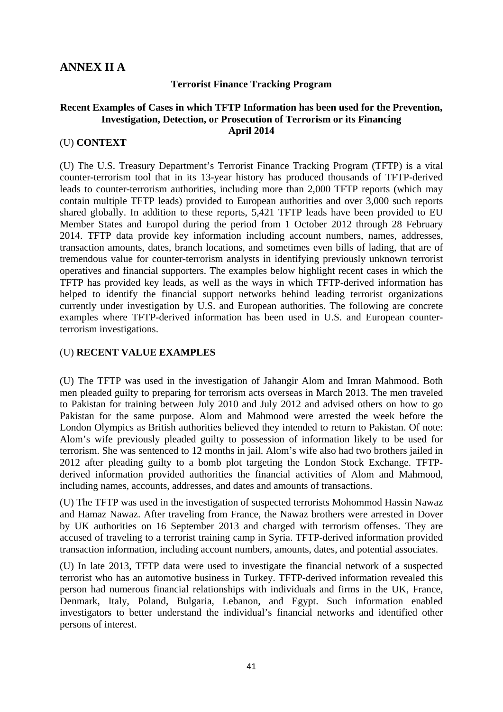## <span id="page-40-0"></span>**ANNEX II A**

#### **Terrorist Finance Tracking Program**

#### **Recent Examples of Cases in which TFTP Information has been used for the Prevention, Investigation, Detection, or Prosecution of Terrorism or its Financing April 2014**

#### (U) **CONTEXT**

(U) The U.S. Treasury Department's Terrorist Finance Tracking Program (TFTP) is a vital counter-terrorism tool that in its 13-year history has produced thousands of TFTP-derived leads to counter-terrorism authorities, including more than 2,000 TFTP reports (which may contain multiple TFTP leads) provided to European authorities and over 3,000 such reports shared globally. In addition to these reports, 5,421 TFTP leads have been provided to EU Member States and Europol during the period from 1 October 2012 through 28 February 2014. TFTP data provide key information including account numbers, names, addresses, transaction amounts, dates, branch locations, and sometimes even bills of lading, that are of tremendous value for counter-terrorism analysts in identifying previously unknown terrorist operatives and financial supporters. The examples below highlight recent cases in which the TFTP has provided key leads, as well as the ways in which TFTP-derived information has helped to identify the financial support networks behind leading terrorist organizations currently under investigation by U.S. and European authorities. The following are concrete examples where TFTP-derived information has been used in U.S. and European counterterrorism investigations.

#### (U) **RECENT VALUE EXAMPLES**

(U) The TFTP was used in the investigation of Jahangir Alom and Imran Mahmood. Both men pleaded guilty to preparing for terrorism acts overseas in March 2013. The men traveled to Pakistan for training between July 2010 and July 2012 and advised others on how to go Pakistan for the same purpose. Alom and Mahmood were arrested the week before the London Olympics as British authorities believed they intended to return to Pakistan. Of note: Alom's wife previously pleaded guilty to possession of information likely to be used for terrorism. She was sentenced to 12 months in jail. Alom's wife also had two brothers jailed in 2012 after pleading guilty to a bomb plot targeting the London Stock Exchange. TFTPderived information provided authorities the financial activities of Alom and Mahmood, including names, accounts, addresses, and dates and amounts of transactions.

(U) The TFTP was used in the investigation of suspected terrorists Mohommod Hassin Nawaz and Hamaz Nawaz. After traveling from France, the Nawaz brothers were arrested in Dover by UK authorities on 16 September 2013 and charged with terrorism offenses. They are accused of traveling to a terrorist training camp in Syria. TFTP-derived information provided transaction information, including account numbers, amounts, dates, and potential associates.

(U) In late 2013, TFTP data were used to investigate the financial network of a suspected terrorist who has an automotive business in Turkey. TFTP-derived information revealed this person had numerous financial relationships with individuals and firms in the UK, France, Denmark, Italy, Poland, Bulgaria, Lebanon, and Egypt. Such information enabled investigators to better understand the individual's financial networks and identified other persons of interest.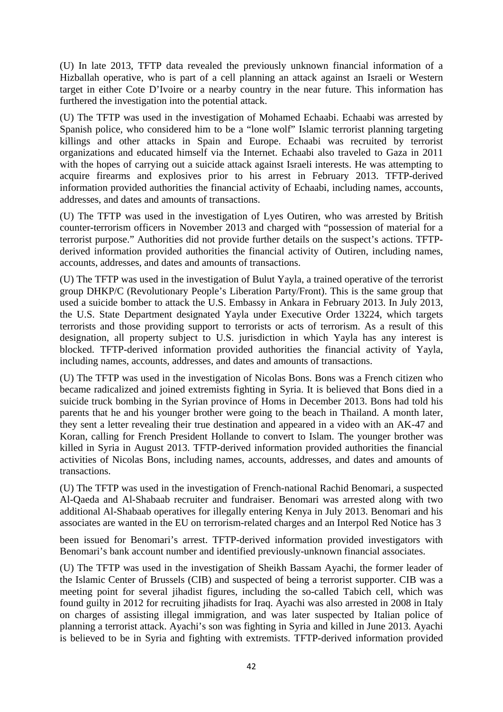(U) In late 2013, TFTP data revealed the previously unknown financial information of a Hizballah operative, who is part of a cell planning an attack against an Israeli or Western target in either Cote D'Ivoire or a nearby country in the near future. This information has furthered the investigation into the potential attack.

(U) The TFTP was used in the investigation of Mohamed Echaabi. Echaabi was arrested by Spanish police, who considered him to be a "lone wolf" Islamic terrorist planning targeting killings and other attacks in Spain and Europe. Echaabi was recruited by terrorist organizations and educated himself via the Internet. Echaabi also traveled to Gaza in 2011 with the hopes of carrying out a suicide attack against Israeli interests. He was attempting to acquire firearms and explosives prior to his arrest in February 2013. TFTP-derived information provided authorities the financial activity of Echaabi, including names, accounts, addresses, and dates and amounts of transactions.

(U) The TFTP was used in the investigation of Lyes Outiren, who was arrested by British counter-terrorism officers in November 2013 and charged with "possession of material for a terrorist purpose." Authorities did not provide further details on the suspect's actions. TFTPderived information provided authorities the financial activity of Outiren, including names, accounts, addresses, and dates and amounts of transactions.

(U) The TFTP was used in the investigation of Bulut Yayla, a trained operative of the terrorist group DHKP/C (Revolutionary People's Liberation Party/Front). This is the same group that used a suicide bomber to attack the U.S. Embassy in Ankara in February 2013. In July 2013, the U.S. State Department designated Yayla under Executive Order 13224, which targets terrorists and those providing support to terrorists or acts of terrorism. As a result of this designation, all property subject to U.S. jurisdiction in which Yayla has any interest is blocked. TFTP-derived information provided authorities the financial activity of Yayla, including names, accounts, addresses, and dates and amounts of transactions.

(U) The TFTP was used in the investigation of Nicolas Bons. Bons was a French citizen who became radicalized and joined extremists fighting in Syria. It is believed that Bons died in a suicide truck bombing in the Syrian province of Homs in December 2013. Bons had told his parents that he and his younger brother were going to the beach in Thailand. A month later, they sent a letter revealing their true destination and appeared in a video with an AK-47 and Koran, calling for French President Hollande to convert to Islam. The younger brother was killed in Syria in August 2013. TFTP-derived information provided authorities the financial activities of Nicolas Bons, including names, accounts, addresses, and dates and amounts of transactions.

(U) The TFTP was used in the investigation of French-national Rachid Benomari, a suspected Al-Qaeda and Al-Shabaab recruiter and fundraiser. Benomari was arrested along with two additional Al-Shabaab operatives for illegally entering Kenya in July 2013. Benomari and his associates are wanted in the EU on terrorism-related charges and an Interpol Red Notice has 3

been issued for Benomari's arrest. TFTP-derived information provided investigators with Benomari's bank account number and identified previously-unknown financial associates.

(U) The TFTP was used in the investigation of Sheikh Bassam Ayachi, the former leader of the Islamic Center of Brussels (CIB) and suspected of being a terrorist supporter. CIB was a meeting point for several jihadist figures, including the so-called Tabich cell, which was found guilty in 2012 for recruiting jihadists for Iraq. Ayachi was also arrested in 2008 in Italy on charges of assisting illegal immigration, and was later suspected by Italian police of planning a terrorist attack. Ayachi's son was fighting in Syria and killed in June 2013. Ayachi is believed to be in Syria and fighting with extremists. TFTP-derived information provided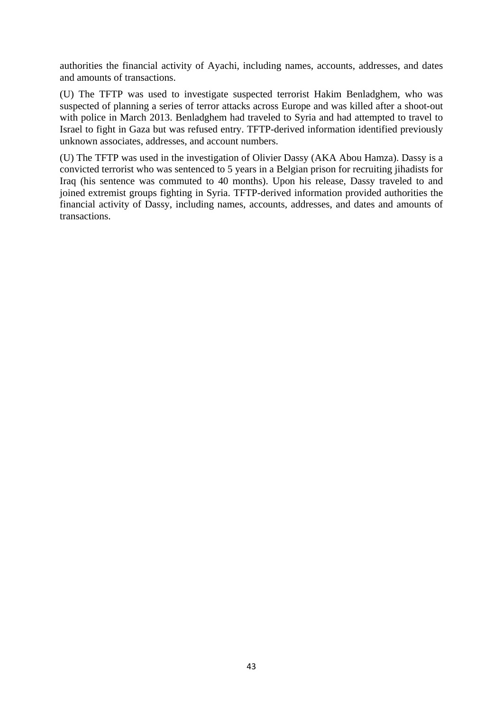authorities the financial activity of Ayachi, including names, accounts, addresses, and dates and amounts of transactions.

(U) The TFTP was used to investigate suspected terrorist Hakim Benladghem, who was suspected of planning a series of terror attacks across Europe and was killed after a shoot-out with police in March 2013. Benladghem had traveled to Syria and had attempted to travel to Israel to fight in Gaza but was refused entry. TFTP-derived information identified previously unknown associates, addresses, and account numbers.

(U) The TFTP was used in the investigation of Olivier Dassy (AKA Abou Hamza). Dassy is a convicted terrorist who was sentenced to 5 years in a Belgian prison for recruiting jihadists for Iraq (his sentence was commuted to 40 months). Upon his release, Dassy traveled to and joined extremist groups fighting in Syria. TFTP-derived information provided authorities the financial activity of Dassy, including names, accounts, addresses, and dates and amounts of transactions.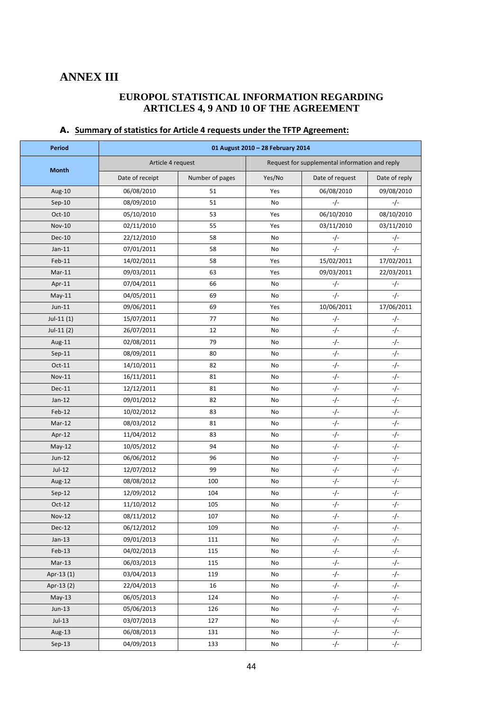## <span id="page-43-0"></span>**ANNEX III**

#### **EUROPOL STATISTICAL INFORMATION REGARDING ARTICLES 4, 9 AND 10 OF THE AGREEMENT**

| Period        | 01 August 2010 - 28 February 2014 |                 |        |                                                |               |  |  |  |  |  |  |
|---------------|-----------------------------------|-----------------|--------|------------------------------------------------|---------------|--|--|--|--|--|--|
|               | Article 4 request                 |                 |        | Request for supplemental information and reply |               |  |  |  |  |  |  |
| <b>Month</b>  | Date of receipt                   | Number of pages | Yes/No | Date of request                                | Date of reply |  |  |  |  |  |  |
| Aug-10        | 06/08/2010                        | 51              | Yes    | 06/08/2010                                     | 09/08/2010    |  |  |  |  |  |  |
| $Sep-10$      | 08/09/2010                        | 51              | No     | $-/-$                                          | $-/-$         |  |  |  |  |  |  |
| Oct-10        | 05/10/2010                        | 53              | Yes    | 06/10/2010                                     | 08/10/2010    |  |  |  |  |  |  |
| <b>Nov-10</b> | 02/11/2010                        | 55              | Yes    | 03/11/2010                                     | 03/11/2010    |  |  |  |  |  |  |
| <b>Dec-10</b> | 22/12/2010                        | 58              | No     | -/-                                            | $-/-$         |  |  |  |  |  |  |
| $Jan-11$      | 07/01/2011                        | 58              | No     | $-/-$                                          | $-/-$         |  |  |  |  |  |  |
| $Feb-11$      | 14/02/2011                        | 58              | Yes    | 15/02/2011                                     | 17/02/2011    |  |  |  |  |  |  |
| $Mar-11$      | 09/03/2011                        | 63              | Yes    | 09/03/2011                                     | 22/03/2011    |  |  |  |  |  |  |
| Apr-11        | 07/04/2011                        | 66              | No     | $-/-$                                          | $-/-$         |  |  |  |  |  |  |
| $May-11$      | 04/05/2011                        | 69              | No     | $-/-$                                          | $-/-$         |  |  |  |  |  |  |
| $Jun-11$      | 09/06/2011                        | 69              | Yes    | 10/06/2011                                     | 17/06/2011    |  |  |  |  |  |  |
| $Jul-11(1)$   | 15/07/2011                        | 77              | No     | -/-                                            | -/-           |  |  |  |  |  |  |
| $Jul-11(2)$   | 26/07/2011                        | 12              | No     | $-/-$                                          | $-/-$         |  |  |  |  |  |  |
| Aug-11        | 02/08/2011                        | 79              | No     | $-/-$                                          | $-/-$         |  |  |  |  |  |  |
| $Sep-11$      | 08/09/2011                        | 80              | No     | $-/-$                                          | -/-           |  |  |  |  |  |  |
| $Oct-11$      | 14/10/2011                        | 82              | No     | $-/-$                                          | $-/-$         |  |  |  |  |  |  |
| Nov-11        | 16/11/2011                        | 81              | No     | $-/-$                                          | $-/-$         |  |  |  |  |  |  |
| Dec-11        | 12/12/2011                        | 81              | No     | $-/-$                                          | -/-           |  |  |  |  |  |  |
| $Jan-12$      | 09/01/2012                        | 82              | No     | $-/-$                                          | $-/-$         |  |  |  |  |  |  |
| Feb-12        | 10/02/2012                        | 83              | No     | $-/-$                                          | $-/-$         |  |  |  |  |  |  |
| Mar-12        | 08/03/2012                        | 81              | No     | $-/-$                                          | $-/-$         |  |  |  |  |  |  |
| Apr-12        | 11/04/2012                        | 83              | No     | $-/-$                                          | $-/-$         |  |  |  |  |  |  |
| $May-12$      | 10/05/2012                        | 94              | No     | $-/-$                                          | -/-           |  |  |  |  |  |  |
| Jun-12        | 06/06/2012                        | 96              | No     | $-/-$                                          | -/-           |  |  |  |  |  |  |
| Jul-12        | 12/07/2012                        | 99              | No     | $-/-$                                          | -/-           |  |  |  |  |  |  |
| Aug-12        | 08/08/2012                        | 100             | No     | $-/-$                                          | $-/-$         |  |  |  |  |  |  |
| $Sep-12$      | 12/09/2012                        | 104             | No     | $-/-$                                          | -/-           |  |  |  |  |  |  |
| $Oct-12$      | 11/10/2012                        | 105             | No     | -/-                                            | -/-           |  |  |  |  |  |  |
| <b>Nov-12</b> | 08/11/2012                        | 107             | No     | $-/-$                                          | $-/-$         |  |  |  |  |  |  |
| Dec-12        | 06/12/2012                        | 109             | No     | $-/-$                                          | $-/-$         |  |  |  |  |  |  |
| $Jan-13$      | 09/01/2013                        | 111             | No     | $-/-$                                          | $-/-$         |  |  |  |  |  |  |
| $Feb-13$      | 04/02/2013                        | 115             | No     | $-/-$                                          | $-/-$         |  |  |  |  |  |  |
| $Mar-13$      | 06/03/2013                        | 115             | No     | $-/-$                                          | -/-           |  |  |  |  |  |  |
| Apr-13 (1)    | 03/04/2013                        | 119             | No     | $-/-$                                          | $-/-$         |  |  |  |  |  |  |
| Apr-13 (2)    | 22/04/2013                        | 16              | No     | $-/-$                                          | -/-           |  |  |  |  |  |  |
| $May-13$      | 06/05/2013                        | 124             | No     | -/-                                            | -/-           |  |  |  |  |  |  |
| $Jun-13$      | 05/06/2013                        | 126             | No     | $-/-$                                          | $-/-$         |  |  |  |  |  |  |
| $Jul-13$      | 03/07/2013                        | 127             | No     | $-/-$                                          | $-/-$         |  |  |  |  |  |  |
| Aug-13        | 06/08/2013                        | 131             | No     | -/-                                            | -/-           |  |  |  |  |  |  |
| $Sep-13$      | 04/09/2013                        | 133             | No     | $-/-$                                          | $-/-$         |  |  |  |  |  |  |

### **A. Summary of statistics for Article 4 requests under the TFTP Agreement:**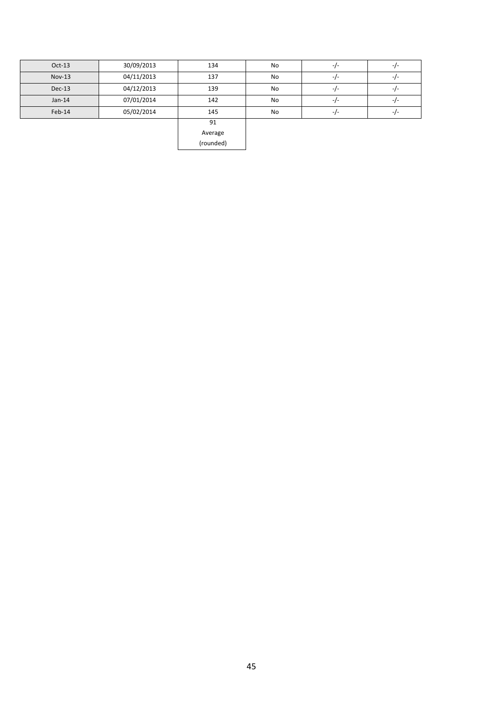| $Oct-13$ | 30/09/2013 | 134     | No        | $-I -$ | $-I -$ |
|----------|------------|---------|-----------|--------|--------|
| $Nov-13$ | 04/11/2013 | 137     | <b>No</b> | $-I -$ | -1-    |
| Dec-13   | 04/12/2013 | 139     | No        | $-I -$ | -7-    |
| $Jan-14$ | 07/01/2014 | 142     | No        | $-I -$ | -1-    |
| Feb-14   | 05/02/2014 | 145     | <b>No</b> | $-I -$ | -1-    |
|          |            | 91      |           |        |        |
|          |            | Average |           |        |        |

(rounded)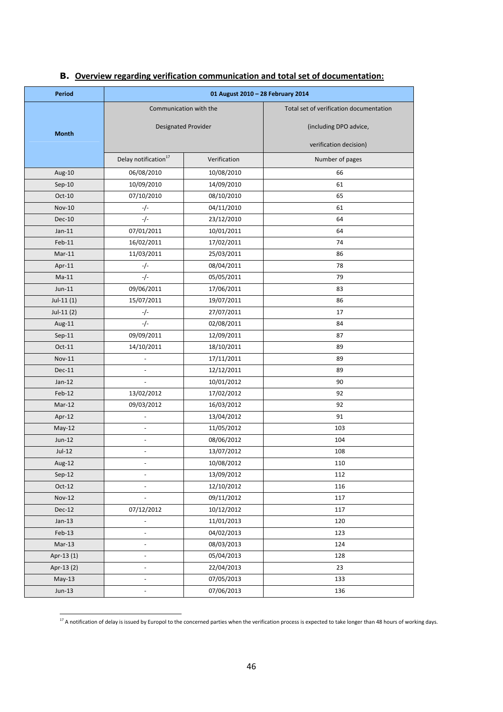| <b>Period</b> |                                  | 01 August 2010 - 28 February 2014 |                                         |  |  |
|---------------|----------------------------------|-----------------------------------|-----------------------------------------|--|--|
|               | Communication with the           |                                   | Total set of verification documentation |  |  |
|               | <b>Designated Provider</b>       |                                   | (including DPO advice,                  |  |  |
| <b>Month</b>  |                                  |                                   |                                         |  |  |
|               |                                  |                                   | verification decision)                  |  |  |
|               | Delay notification <sup>17</sup> | Verification                      | Number of pages                         |  |  |
| Aug-10        | 06/08/2010                       | 10/08/2010                        | 66                                      |  |  |
| $Sep-10$      | 10/09/2010                       | 14/09/2010                        | 61                                      |  |  |
| Oct-10        | 07/10/2010                       | 08/10/2010                        | 65                                      |  |  |
| <b>Nov-10</b> | $-/-$                            | 04/11/2010                        | 61                                      |  |  |
| <b>Dec-10</b> | $-/-$                            | 23/12/2010                        | 64                                      |  |  |
| $Jan-11$      | 07/01/2011                       | 10/01/2011                        | 64                                      |  |  |
| $Feb-11$      | 16/02/2011                       | 17/02/2011                        | 74                                      |  |  |
| Mar-11        | 11/03/2011                       | 25/03/2011                        | 86                                      |  |  |
| Apr-11        | -/-                              | 08/04/2011                        | 78                                      |  |  |
| $Ma-11$       | -/-                              | 05/05/2011                        | 79                                      |  |  |
| $Jun-11$      | 09/06/2011                       | 17/06/2011                        | 83                                      |  |  |
| $Jul-11(1)$   | 15/07/2011                       | 19/07/2011                        | 86                                      |  |  |
| $Jul-11(2)$   | -/-                              | 27/07/2011                        | 17                                      |  |  |
| Aug-11        | $-/-$                            | 02/08/2011                        | 84                                      |  |  |
| $Sep-11$      | 09/09/2011                       | 12/09/2011                        | 87                                      |  |  |
| Oct-11        | 14/10/2011                       | 18/10/2011                        | 89                                      |  |  |
| <b>Nov-11</b> | $\frac{1}{2}$                    | 17/11/2011                        | 89                                      |  |  |
| Dec-11        |                                  | 12/12/2011                        | 89                                      |  |  |
| $Jan-12$      | ÷,                               | 10/01/2012                        | 90                                      |  |  |
| Feb-12        | 13/02/2012                       | 17/02/2012                        | 92                                      |  |  |
| Mar-12        | 09/03/2012                       | 16/03/2012                        | 92                                      |  |  |
| Apr-12        | $\overline{\phantom{a}}$         | 13/04/2012                        | 91                                      |  |  |
| $May-12$      | ÷,                               | 11/05/2012                        | 103                                     |  |  |
| Jun-12        | ÷,                               | 08/06/2012                        | 104                                     |  |  |
| $Jul-12$      |                                  | 13/07/2012                        | 108                                     |  |  |
| Aug-12        |                                  | 10/08/2012                        | 110                                     |  |  |
| $Sep-12$      | $\overline{\phantom{a}}$         | 13/09/2012                        | 112                                     |  |  |
| $Oct-12$      | $\overline{\phantom{a}}$         | 12/10/2012                        | 116                                     |  |  |
| <b>Nov-12</b> | $\overline{\phantom{a}}$         | 09/11/2012                        | 117                                     |  |  |
| <b>Dec-12</b> | 07/12/2012                       | 10/12/2012                        | 117                                     |  |  |
| $Jan-13$      | $\overline{\phantom{a}}$         | 11/01/2013                        | 120                                     |  |  |
| Feb-13        | $\overline{\phantom{a}}$         | 04/02/2013                        | 123                                     |  |  |
| $Mar-13$      | ÷,                               | 08/03/2013                        | 124                                     |  |  |
| Apr-13 (1)    | $\overline{\phantom{a}}$         | 05/04/2013                        | 128                                     |  |  |
| Apr-13 (2)    | $\overline{\phantom{a}}$         | 22/04/2013                        | 23                                      |  |  |
| $May-13$      | $\overline{\phantom{a}}$         | 07/05/2013                        | 133                                     |  |  |
| $Jun-13$      | $\frac{1}{2}$                    | 07/06/2013                        | 136                                     |  |  |
|               |                                  |                                   |                                         |  |  |

### **B. Overview regarding verification communication and total set of documentation:**

**.** 

 $^{17}$  A notification of delay is issued by Europol to the concerned parties when the verification process is expected to take longer than 48 hours of working days.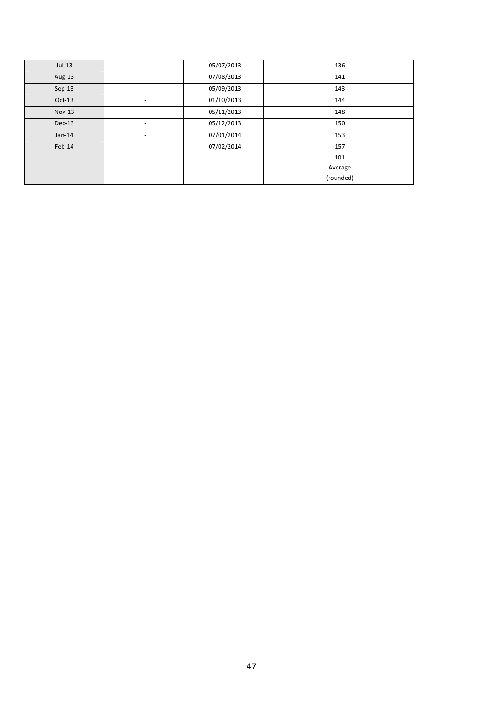| $Jul-13$ | $\overline{\phantom{0}}$ | 05/07/2013 | 136       |
|----------|--------------------------|------------|-----------|
| Aug-13   | $\overline{\phantom{0}}$ | 07/08/2013 | 141       |
| $Sep-13$ | $\overline{\phantom{0}}$ | 05/09/2013 | 143       |
| $Oct-13$ | $\overline{\phantom{a}}$ | 01/10/2013 | 144       |
| Nov-13   |                          | 05/11/2013 | 148       |
| $Dec-13$ | -                        | 05/12/2013 | 150       |
| $Jan-14$ | $\overline{\phantom{0}}$ | 07/01/2014 | 153       |
| $Feb-14$ | $\overline{\phantom{0}}$ | 07/02/2014 | 157       |
|          |                          |            | 101       |
|          |                          |            | Average   |
|          |                          |            | (rounded) |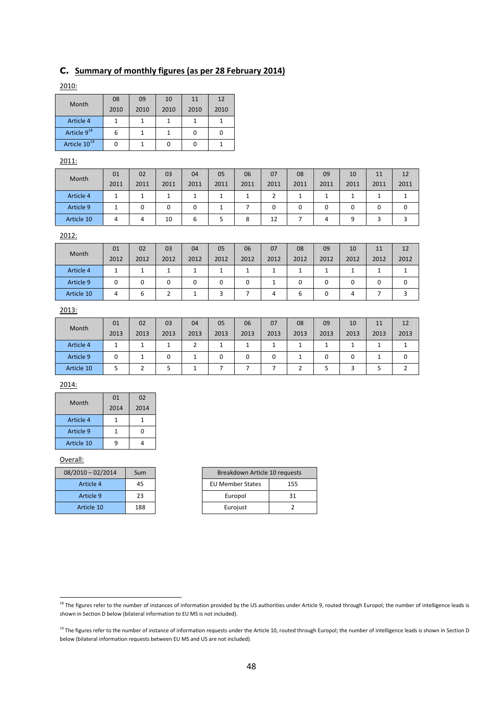### **C. Summary of monthly figures (as per 28 February 2014)**

| Month                    | 08   | 09   | 10   | 11   | 12   |
|--------------------------|------|------|------|------|------|
|                          | 2010 | 2010 | 2010 | 2010 | 2010 |
| Article 4                |      |      |      |      |      |
| Article 9 <sup>18</sup>  |      |      |      |      |      |
| Article 10 <sup>19</sup> |      |      |      |      |      |

#### 2011:

| Month      | 01   | 02   | 03   | 04   | 05   | 06   | 07   | 08   | 09       | 10   | 11   | 12   |
|------------|------|------|------|------|------|------|------|------|----------|------|------|------|
|            | 2011 | 2011 | 2011 | 2011 | 2011 | 2011 | 2011 | 2011 | 2011     | 2011 | 2011 | 2011 |
| Article 4  |      |      |      |      |      |      |      |      |          |      |      |      |
| Article 9  |      |      |      | 0    |      |      |      | 0    | $\Omega$ |      |      |      |
| Article 10 | 4    | 4    | 10   | b    |      | 8    | 12   |      |          |      |      |      |

#### 2012:

| <b>Month</b> | 01   | 02   | 03   | 04   | 05   | 06   | 07   | 08   | 09   | 10   | 11   | 12   |
|--------------|------|------|------|------|------|------|------|------|------|------|------|------|
|              | 2012 | 2012 | 2012 | 2012 | 2012 | 2012 | 2012 | 2012 | 2012 | 2012 | 2012 | 2012 |
| Article 4    | л.   |      |      |      |      |      |      |      |      |      |      |      |
| Article 9    | 0    |      | 0    |      | 0    | O    |      |      |      |      |      |      |
| Article 10   | 4    |      |      |      |      |      |      |      |      |      |      |      |

#### 2013:

| Month      | 01   | 02   | 03   | 04   | 05   | 06   | 07   | 08   | 09   | 10   | 11   | 12   |
|------------|------|------|------|------|------|------|------|------|------|------|------|------|
|            | 2013 | 2013 | 2013 | 2013 | 2013 | 2013 | 2013 | 2013 | 2013 | 2013 | 2013 | 2013 |
| Article 4  |      |      |      |      |      |      |      |      |      |      |      |      |
| Article 9  | 0    |      |      |      |      | 0    |      |      | 0    |      |      |      |
| Article 10 |      |      |      |      |      |      |      |      |      |      |      |      |

#### 2014:

| Month      | 01   | 02   |
|------------|------|------|
|            | 2014 | 2014 |
| Article 4  |      |      |
| Article 9  |      |      |
| Article 10 |      |      |

#### Overall:

| $08/2010 - 02/2014$ | Sum |
|---------------------|-----|
| Article 4           | 45  |
| Article 9           | 23  |
| Article 10          | 188 |

| 08/2010-02/2014 | Sum | Breakdown Article 10 requests |     |
|-----------------|-----|-------------------------------|-----|
| Article 4       | 45  | <b>EU Member States</b>       | 155 |
| Article 9       | 23  | Europol                       |     |
| Article 10      | 188 | Eurojust                      |     |

**<sup>.</sup>** <sup>18</sup> The figures refer to the number of instances of information provided by the US authorities under Article 9, routed through Europol; the number of intelligence leads is shown in Section D below (bilateral information to EU MS is not included).

<sup>&</sup>lt;sup>19</sup> The figures refer to the number of instance of information requests under the Article 10, routed through Europol; the number of intelligence leads is shown in Section D below (bilateral information requests between EU MS and US are not included).